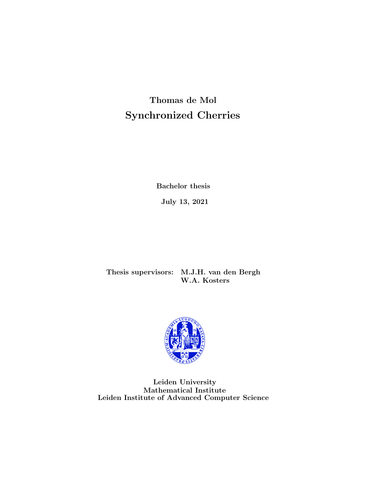Thomas de Mol Synchronized Cherries

Bachelor thesis

July 13, 2021

Thesis supervisors: M.J.H. van den Bergh W.A. Kosters



Leiden University Mathematical Institute Leiden Institute of Advanced Computer Science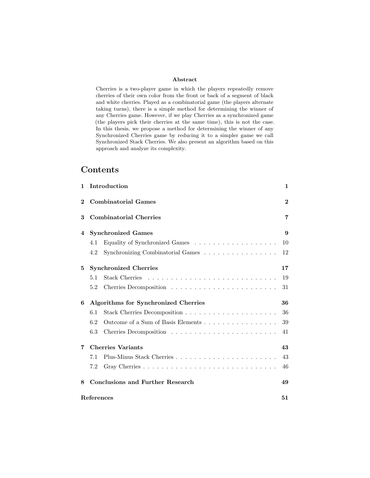#### Abstract

Cherries is a two-player game in which the players repeatedly remove cherries of their own color from the front or back of a segment of black and white cherries. Played as a combinatorial game (the players alternate taking turns), there is a simple method for determining the winner of any Cherries game. However, if we play Cherries as a synchronized game (the players pick their cherries at the same time), this is not the case. In this thesis, we propose a method for determining the winner of any Synchronized Cherries game by reducing it to a simpler game we call Synchronized Stack Cherries. We also present an algorithm based on this approach and analyze its complexity.

# Contents

| $\mathbf{1}$ | Introduction                                                                   | 1            |
|--------------|--------------------------------------------------------------------------------|--------------|
| $\bf{2}$     | <b>Combinatorial Games</b>                                                     | $\mathbf{2}$ |
| 3            | <b>Combinatorial Cherries</b>                                                  | 7            |
| 4            | <b>Synchronized Games</b>                                                      | 9            |
|              | 4.1                                                                            | 10           |
|              | Synchronizing Combinatorial Games $\dots \dots \dots \dots \dots \dots$<br>4.2 | 12           |
| 5            | <b>Synchronized Cherries</b>                                                   | 17           |
|              | 5.1                                                                            | 19           |
|              | 5.2                                                                            | 31           |
| 6            | Algorithms for Synchronized Cherries                                           | 36           |
|              | 6.1                                                                            | 36           |
|              | Outcome of a Sum of Basis Elements<br>6.2                                      | 39           |
|              | 6.3                                                                            | 41           |
| 7            | <b>Cherries Variants</b>                                                       | 43           |
|              | 7.1                                                                            | 43           |
|              | 7.2                                                                            | 46           |
| 8            | <b>Conclusions and Further Research</b>                                        | 49           |
|              | References                                                                     | 51           |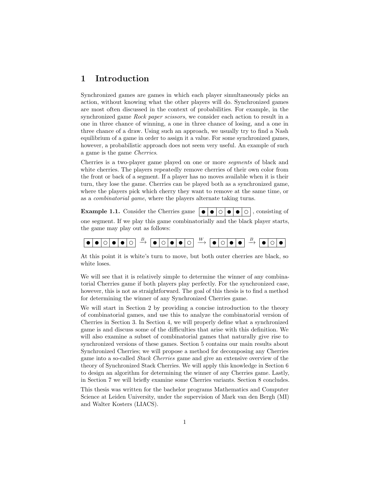# <span id="page-2-0"></span>1 Introduction

Synchronized games are games in which each player simultaneously picks an action, without knowing what the other players will do. Synchronized games are most often discussed in the context of probabilities. For example, in the synchronized game Rock paper scissors, we consider each action to result in a one in three chance of winning, a one in three chance of losing, and a one in three chance of a draw. Using such an approach, we usually try to find a Nash equilibrium of a game in order to assign it a value. For some synchronized games, however, a probabilistic approach does not seem very useful. An example of such a game is the game Cherries.

Cherries is a two-player game played on one or more segments of black and white cherries. The players repeatedly remove cherries of their own color from the front or back of a segment. If a player has no moves available when it is their turn, they lose the game. Cherries can be played both as a synchronized game, where the players pick which cherry they want to remove at the same time, or as a combinatorial game, where the players alternate taking turns.

**Example 1.1.** Consider the Cherries game  $\vert \bullet \vert \bullet \vert \circ \vert \bullet \vert \circ \vert$ , consisting of one segment. If we play this game combinatorially and the black player starts, the game may play out as follows:



At this point it is white's turn to move, but both outer cherries are black, so white loses.

We will see that it is relatively simple to determine the winner of any combinatorial Cherries game if both players play perfectly. For the synchronized case, however, this is not as straightforward. The goal of this thesis is to find a method for determining the winner of any Synchronized Cherries game.

We will start in Section [2](#page-3-0) by providing a concise introduction to the theory of combinatorial games, and use this to analyze the combinatorial version of Cherries in Section [3.](#page-8-0) In Section [4,](#page-10-0) we will properly define what a synchronized game is and discuss some of the difficulties that arise with this definition. We will also examine a subset of combinatorial games that naturally give rise to synchronized versions of these games. Section [5](#page-18-0) contains our main results about Synchronized Cherries; we will propose a method for decomposing any Cherries game into a so-called Stack Cherries game and give an extensive overview of the theory of Synchronized Stack Cherries. We will apply this knowledge in Section [6](#page-37-0) to design an algorithm for determining the winner of any Cherries game. Lastly, in Section [7](#page-44-0) we will briefly examine some Cherries variants. Section [8](#page-50-0) concludes.

This thesis was written for the bachelor programs Mathematics and Computer Science at Leiden University, under the supervision of Mark van den Bergh (MI) and Walter Kosters (LIACS).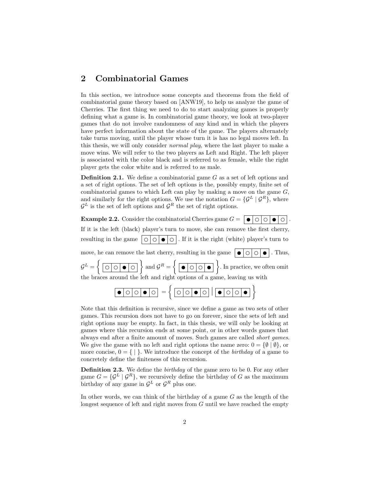## <span id="page-3-0"></span>2 Combinatorial Games

In this section, we introduce some concepts and theorems from the field of combinatorial game theory based on [\[ANW19\]](#page-52-1), to help us analyze the game of Cherries. The first thing we need to do to start analyzing games is properly defining what a game is. In combinatorial game theory, we look at two-player games that do not involve randomness of any kind and in which the players have perfect information about the state of the game. The players alternately take turns moving, until the player whose turn it is has no legal moves left. In this thesis, we will only consider normal play, where the last player to make a move wins. We will refer to the two players as Left and Right. The left player is associated with the color black and is referred to as female, while the right player gets the color white and is referred to as male.

**Definition 2.1.** We define a combinatorial game  $G$  as a set of left options and a set of right options. The set of left options is the, possibly empty, finite set of combinatorial games to which Left can play by making a move on the game  $G$ , and similarly for the right options. We use the notation  $G = \{ \mathcal{G}^L | \mathcal{G}^R \}$ , where  $\mathcal{G}^L$  is the set of left options and  $\mathcal{G}^R$  the set of right options.

**Example 2.2.** Consider the combinatorial Cherries game  $G = \begin{bmatrix} \bullet & \circ & \circ & \circ \end{bmatrix}$ If it is the left (black) player's turn to move, she can remove the first cherry, resulting in the game  $\vert \circ \vert \circ \vert \bullet \vert \circ \vert$ . If it is the right (white) player's turn to move, he can remove the last cherry, resulting in the game  $\|\bullet\|$  $G^L = \left\{ \begin{array}{|c|c|c|c|} \hline \circ & \circ & \circ \end{array} \right\}$  and  $G^R = \left\{ \begin{array}{|c|c|c|c|} \hline \bullet & \circ & \circ \end{array} \right\}$ . In practice, we often omit the braces around the left and right options of a game, leaving us with = |

Note that this definition is recursive, since we define a game as two sets of other games. This recursion does not have to go on forever, since the sets of left and right options may be empty. In fact, in this thesis, we will only be looking at games where this recursion ends at some point, or in other words games that always end after a finite amount of moves. Such games are called short games. We give the game with no left and right options the name zero:  $0 = \{ \emptyset | \emptyset \}$ , or more concise,  $0 = \{ | \}$ . We introduce the concept of the *birthday* of a game to

Definition 2.3. We define the *birthday* of the game zero to be 0. For any other game  $G = \{ \mathcal{G}^L | \mathcal{G}^R \}$ , we recursively define the birthday of G as the maximum birthday of any game in  $\mathcal{G}^L$  or  $\mathcal{G}^R$  plus one.

concretely define the finiteness of this recursion.

In other words, we can think of the birthday of a game  $G$  as the length of the longest sequence of left and right moves from  $G$  until we have reached the empty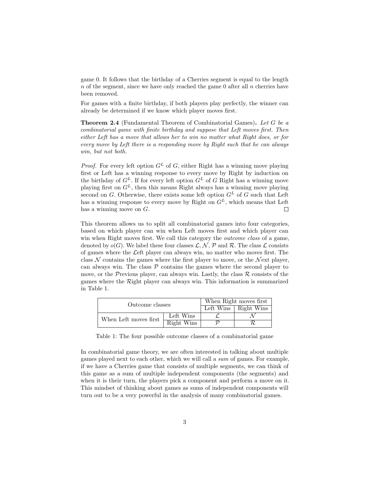game 0. It follows that the birthday of a Cherries segment is equal to the length  $n$  of the segment, since we have only reached the game 0 after all  $n$  cherries have been removed.

For games with a finite birthday, if both players play perfectly, the winner can already be determined if we know which player moves first.

Theorem 2.4 (Fundamental Theorem of Combinatorial Games). Let G be a combinatorial game with finite birthday and suppose that Left moves first. Then either Left has a move that allows her to win no matter what Right does, or for every move by Left there is a responding move by Right such that he can always win, but not both.

*Proof.* For every left option  $G^L$  of G, either Right has a winning move playing first or Left has a winning response to every move by Right by induction on the birthday of  $G^L$ . If for every left option  $G^L$  of G Right has a winning move playing first on  $G<sup>L</sup>$ , then this means Right always has a winning move playing second on G. Otherwise, there exists some left option  $G<sup>L</sup>$  of G such that Left has a winning response to every move by Right on  $G<sup>L</sup>$ , which means that Left has a winning move on  $G$ .  $\Box$ 

This theorem allows us to split all combinatorial games into four categories, based on which player can win when Left moves first and which player can win when Right moves first. We call this category the *outcome class* of a game, denoted by  $o(G)$ . We label these four classes  $\mathcal{L}, \mathcal{N}, \mathcal{P}$  and  $\mathcal{R}$ . The class  $\mathcal{L}$  consists of games where the Left player can always win, no matter who moves first. The class  $N$  contains the games where the first player to move, or the Next player, can always win. The class  $P$  contains the games where the second player to move, or the Previous player, can always win. Lastly, the class  $\mathcal R$  consists of the games where the Right player can always win. This information is summarized in Table [1.](#page-4-0)

| Outcome classes       | When Right moves first |                              |  |
|-----------------------|------------------------|------------------------------|--|
|                       |                        | Left Wins $\vert$ Right Wins |  |
| When Left moves first | Left Wins              |                              |  |
|                       | Right Wins             |                              |  |

<span id="page-4-0"></span>Table 1: The four possible outcome classes of a combinatorial game

In combinatorial game theory, we are often interested in talking about multiple games played next to each other, which we will call a sum of games. For example, if we have a Cherries game that consists of multiple segments, we can think of this game as a sum of multiple independent components (the segments) and when it is their turn, the players pick a component and perform a move on it. This mindset of thinking about games as sums of independent components will turn out to be a very powerful in the analysis of many combinatorial games.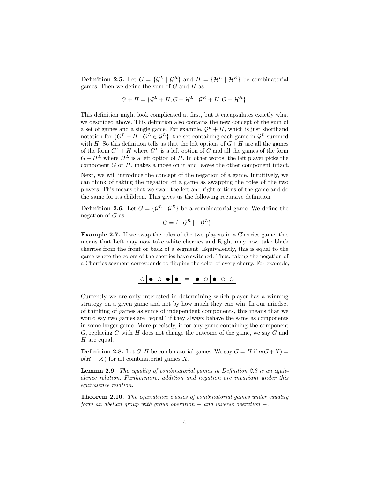**Definition 2.5.** Let  $G = \{ \mathcal{G}^L | \mathcal{G}^R \}$  and  $H = \{ \mathcal{H}^L | \mathcal{H}^R \}$  be combinatorial games. Then we define the sum of  $G$  and  $H$  as

$$
G + H = \{ \mathcal{G}^L + H, G + \mathcal{H}^L \mid \mathcal{G}^R + H, G + \mathcal{H}^R \}.
$$

This definition might look complicated at first, but it encapsulates exactly what we described above. This definition also contains the new concept of the sum of a set of games and a single game. For example,  $\mathcal{G}^L + H$ , which is just shorthand notation for  $\{G^L + H : G^L \in \mathcal{G}^L\}$ , the set containing each game in  $\mathcal{G}^L$  summed with H. So this definition tells us that the left options of  $G+H$  are all the games of the form  $G^L + H$  where  $G^L$  is a left option of G and all the games of the form  $G + H^L$  where  $H^L$  is a left option of H. In other words, the left player picks the component G or H, makes a move on it and leaves the other component intact.

Next, we will introduce the concept of the negation of a game. Intuitively, we can think of taking the negation of a game as swapping the roles of the two players. This means that we swap the left and right options of the game and do the same for its children. This gives us the following recursive definition.

**Definition 2.6.** Let  $G = \{ \mathcal{G}^L | \mathcal{G}^R \}$  be a combinatorial game. We define the negation of  $G$  as

$$
-G = \{-\mathcal{G}^R \mid -\mathcal{G}^L\}
$$

Example 2.7. If we swap the roles of the two players in a Cherries game, this means that Left may now take white cherries and Right may now take black cherries from the front or back of a segment. Equivalently, this is equal to the game where the colors of the cherries have switched. Thus, taking the negation of a Cherries segment corresponds to flipping the color of every cherry. For example,



Currently we are only interested in determining which player has a winning strategy on a given game and not by how much they can win. In our mindset of thinking of games as sums of independent components, this means that we would say two games are "equal" if they always behave the same as components in some larger game. More precisely, if for any game containing the component G, replacing G with H does not change the outcome of the game, we say G and H are equal.

<span id="page-5-0"></span>**Definition 2.8.** Let G, H be combinatorial games. We say  $G = H$  if  $o(G+X) =$  $o(H+X)$  for all combinatorial games X.

Lemma 2.9. The equality of combinatorial games in Definition [2.8](#page-5-0) is an equivalence relation. Furthermore, addition and negation are invariant under this equivalence relation.

<span id="page-5-1"></span>**Theorem 2.10.** The equivalence classes of combinatorial games under equality form an abelian group with group operation  $+$  and inverse operation  $-$ .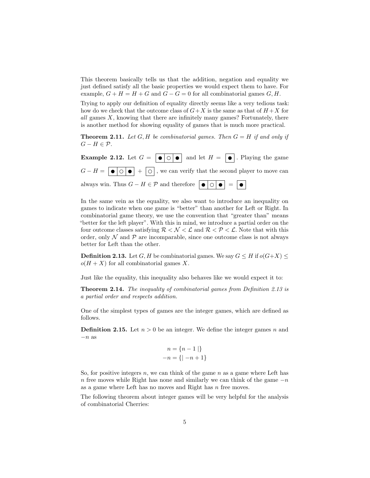This theorem basically tells us that the addition, negation and equality we just defined satisfy all the basic properties we would expect them to have. For example,  $G + H = H + G$  and  $G - G = 0$  for all combinatorial games  $G, H$ .

Trying to apply our definition of equality directly seems like a very tedious task: how do we check that the outcome class of  $G+X$  is the same as that of  $H+X$  for all games  $X$ , knowing that there are infinitely many games? Fortunately, there is another method for showing equality of games that is much more practical.

**Theorem 2.11.** Let G, H be combinatorial games. Then  $G = H$  if and only if  $G - H \in \mathcal{P}$ .

**Example 2.12.** Let  $G = \begin{bmatrix} \bullet & \circ \end{bmatrix} \bullet$  and let  $H = \begin{bmatrix} \bullet & \circ \end{bmatrix}$ . Playing the game  $G - H = \bigcirc \bigcirc \bigcirc + \bigcirc$ , we can verify that the second player to move can always win. Thus  $G - H \in \mathcal{P}$  and therefore  $\boxed{\bullet \circ \Box \bullet} = \boxed{\bullet}$ 

In the same vein as the equality, we also want to introduce an inequality on games to indicate when one game is "better" than another for Left or Right. In combinatorial game theory, we use the convention that "greater than" means "better for the left player". With this in mind, we introduce a partial order on the four outcome classes satisfying  $\mathcal{R} < \mathcal{N} < \mathcal{L}$  and  $\mathcal{R} < \mathcal{P} < \mathcal{L}$ . Note that with this order, only  $\mathcal N$  and  $\mathcal P$  are incomparable, since one outcome class is not always better for Left than the other.

<span id="page-6-0"></span>**Definition 2.13.** Let G, H be combinatorial games. We say  $G \leq H$  if  $o(G+X) \leq$  $o(H+X)$  for all combinatorial games X.

Just like the equality, this inequality also behaves like we would expect it to:

Theorem 2.14. The inequality of combinatorial games from Definition [2.13](#page-6-0) is a partial order and respects addition.

One of the simplest types of games are the integer games, which are defined as follows.

**Definition 2.15.** Let  $n > 0$  be an integer. We define the integer games n and  $-n$  as

$$
n = \{n - 1 | \}
$$
  
-n = { | -n + 1}

So, for positive integers n, we can think of the game  $n$  as a game where Left has n free moves while Right has none and similarly we can think of the game  $-n$ as a game where Left has no moves and Right has n free moves.

The following theorem about integer games will be very helpful for the analysis of combinatorial Cherries: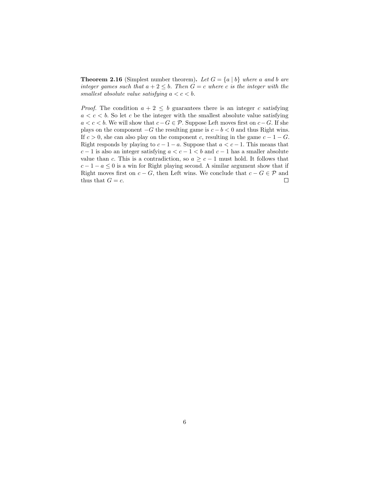**Theorem 2.16** (Simplest number theorem). Let  $G = \{a \mid b\}$  where a and b are integer games such that  $a + 2 \leq b$ . Then  $G = c$  where c is the integer with the smallest absolute value satisfying  $a < c < b$ .

*Proof.* The condition  $a + 2 \leq b$  guarantees there is an integer c satisfying  $a < c < b$ . So let c be the integer with the smallest absolute value satisfying a < c < b. We will show that  $c-G \in \mathcal{P}$ . Suppose Left moves first on  $c-G$ . If she plays on the component  $-G$  the resulting game is  $c - b < 0$  and thus Right wins. If  $c > 0$ , she can also play on the component c, resulting in the game  $c - 1 - G$ . Right responds by playing to  $c - 1 - a$ . Suppose that  $a < c - 1$ . This means that  $c-1$  is also an integer satisfying  $a < c-1 < b$  and  $c-1$  has a smaller absolute value than c. This is a contradiction, so  $a \geq c - 1$  must hold. It follows that  $c - 1 - a \leq 0$  is a win for Right playing second. A similar argument show that if Right moves first on  $c - G$ , then Left wins. We conclude that  $c - G \in \mathcal{P}$  and thus that  $G = c$ .  $\Box$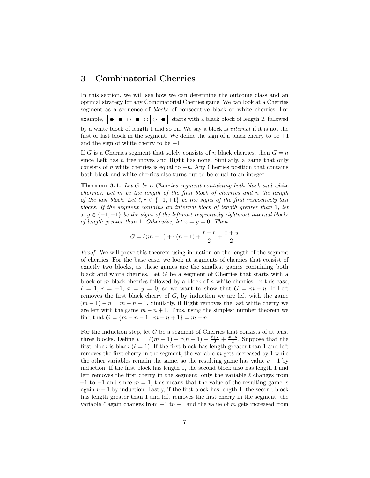### <span id="page-8-0"></span>3 Combinatorial Cherries

In this section, we will see how we can determine the outcome class and an optimal strategy for any Combinatorial Cherries game. We can look at a Cherries segment as a sequence of blocks of consecutive black or white cherries. For example,  $\vert \bullet \vert \bullet \vert \circ \vert \circ \vert \circ \vert \circ \vert \circ \vert$  starts with a black block of length 2, followed by a white block of length 1 and so on. We say a block is internal if it is not the first or last block in the segment. We define the sign of a black cherry to be  $+1$ and the sign of white cherry to be  $-1$ .

If G is a Cherries segment that solely consists of n black cherries, then  $G = n$ since Left has n free moves and Right has none. Similarly, a game that only consists of n white cherries is equal to  $-n$ . Any Cherries position that contains both black and white cherries also turns out to be equal to an integer.

<span id="page-8-1"></span>Theorem 3.1. Let G be a Cherries segment containing both black and white cherries. Let m be the length of the first block of cherries and n the length of the last block. Let  $\ell, r \in \{-1, +1\}$  be the signs of the first respectively last blocks. If the segment contains an internal block of length greater than 1, let  $x, y \in \{-1, +1\}$  be the signs of the leftmost respectively rightmost internal blocks of length greater than 1. Otherwise, let  $x = y = 0$ . Then

$$
G = \ell(m-1) + r(n-1) + \frac{\ell+r}{2} + \frac{x+y}{2}
$$

Proof. We will prove this theorem using induction on the length of the segment of cherries. For the base case, we look at segments of cherries that consist of exactly two blocks, as these games are the smallest games containing both black and white cherries. Let G be a segment of Cherries that starts with a block of  $m$  black cherries followed by a block of  $n$  white cherries. In this case,  $\ell = 1, r = -1, x = y = 0$ , so we want to show that  $G = m - n$ . If Left removes the first black cherry of  $G$ , by induction we are left with the game  $(m-1)-n=m-n-1$ . Similarly, if Right removes the last white cherry we are left with the game  $m - n + 1$ . Thus, using the simplest number theorem we find that  $G = \{m - n - 1 \mid m - n + 1\} = m - n$ .

For the induction step, let  $G$  be a segment of Cherries that consists of at least three blocks. Define  $v = \ell(m-1) + r(n-1) + \frac{\ell+r}{2} + \frac{x+y}{2}$ . Suppose that the first block is black  $(\ell = 1)$ . If the first block has length greater than 1 and left removes the first cherry in the segment, the variable m gets decreased by 1 while the other variables remain the same, so the resulting game has value  $v - 1$  by induction. If the first block has length 1, the second block also has length 1 and left removes the first cherry in the segment, only the variable  $\ell$  changes from  $+1$  to  $-1$  and since  $m = 1$ , this means that the value of the resulting game is again  $v - 1$  by induction. Lastly, if the first block has length 1, the second block has length greater than 1 and left removes the first cherry in the segment, the variable  $\ell$  again changes from +1 to  $-1$  and the value of m gets increased from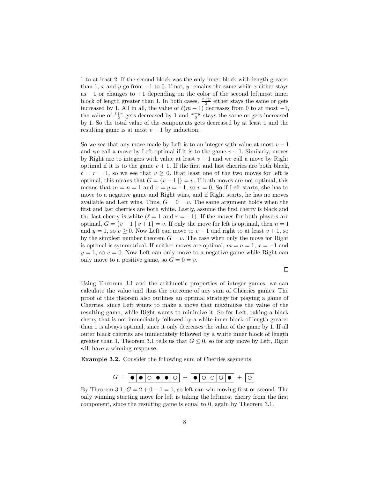1 to at least 2. If the second block was the only inner block with length greater than 1, x and y go from  $-1$  to 0. If not, y remains the same while x either stays as  $-1$  or changes to  $+1$  depending on the color of the second leftmost inner block of length greater than 1. In both cases,  $\frac{x+y}{2}$  either stays the same or gets increased by 1. All in all, the value of  $\ell(m - 1)$  decreases from 0 to at most  $-1$ , the value of  $\frac{\ell+r}{2}$  gets decreased by 1 and  $\frac{x+y}{2}$  stays the same or gets increased by 1. So the total value of the components gets decreased by at least 1 and the resulting game is at most  $v - 1$  by induction.

So we see that any move made by Left is to an integer with value at most  $v - 1$ and we call a move by Left optimal if it is to the game  $v - 1$ . Similarly, moves by Right are to integers with value at least  $v + 1$  and we call a move by Right optimal if it is to the game  $v + 1$ . If the first and last cherries are both black,  $\ell = r = 1$ , so we see that  $v > 0$ . If at least one of the two moves for left is optimal, this means that  $G = \{v - 1 | u = v\}$ . If both moves are not optimal, this means that  $m = n = 1$  and  $x = y = -1$ , so  $v = 0$ . So if Left starts, she has to move to a negative game and Right wins, and if Right starts, he has no moves available and Left wins. Thus,  $G = 0 = v$ . The same argument holds when the first and last cherries are both white. Lastly, assume the first cherry is black and the last cherry is white ( $\ell = 1$  and  $r = -1$ ). If the moves for both players are optimal,  $G = \{v-1 \mid v+1\} = v$ . If only the move for left is optimal, then  $n = 1$ and  $y = 1$ , so  $v \ge 0$ . Now Left can move to  $v - 1$  and right to at least  $v + 1$ , so by the simplest number theorem  $G = v$ . The case when only the move for Right is optimal is symmetrical. If neither moves are optimal,  $m = n = 1, x = -1$  and  $y = 1$ , so  $v = 0$ . Now Left can only move to a negative game while Right can only move to a positive game, so  $G = 0 = v$ .

 $\Box$ 

Using Theorem [3.1](#page-8-1) and the arithmetic properties of integer games, we can calculate the value and thus the outcome of any sum of Cherries games. The proof of this theorem also outlines an optimal strategy for playing a game of Cherries, since Left wants to make a move that maximizes the value of the resulting game, while Right wants to minimize it. So for Left, taking a black cherry that is not immediately followed by a white inner block of length greater than 1 is always optimal, since it only decreases the value of the game by 1. If all outer black cherries are immediately followed by a white inner block of length greater than 1, Theorem [3.1](#page-8-1) tells us that  $G \leq 0$ , so for any move by Left, Right will have a winning response.

Example 3.2. Consider the following sum of Cherries segments

$$
G = \boxed{\bullet \mid \bullet \mid \circ \mid \bullet \mid \bullet \mid \circ \mid} \; + \;\boxed{\bullet \mid \circ \mid \circ \mid \circ \mid \bullet \mid} \; + \;\boxed{\circ}
$$

By Theorem [3.1,](#page-8-1)  $G = 2 + 0 - 1 = 1$ , so left can win moving first or second. The only winning starting move for left is taking the leftmost cherry from the first component, since the resulting game is equal to 0, again by Theorem [3.1.](#page-8-1)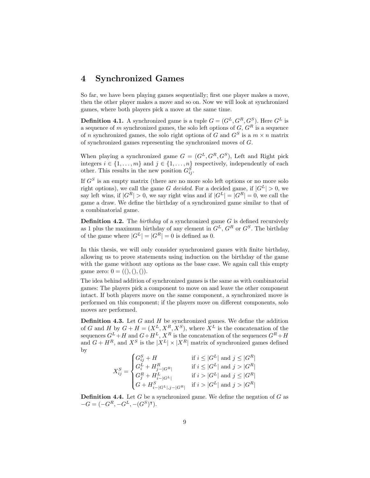## <span id="page-10-0"></span>4 Synchronized Games

So far, we have been playing games sequentially; first one player makes a move, then the other player makes a move and so on. Now we will look at synchronized games, where both players pick a move at the same time.

**Definition 4.1.** A synchronized game is a tuple  $G = (G^L, G^R, G^S)$ . Here  $G^L$  is a sequence of m synchronized games, the solo left options of  $G, G<sup>R</sup>$  is a sequence of n synchronized games, the solo right options of G and  $G^S$  is a  $m \times n$  matrix of synchronized games representing the synchronized moves of G.

When playing a synchronized game  $G = (G^L, G^R, G^S)$ , Left and Right pick integers  $i \in \{1, \ldots, m\}$  and  $j \in \{1, \ldots, n\}$  respectively, independently of each other. This results in the new position  $G_{ij}^S$ .

If  $G<sup>S</sup>$  is an empty matrix (there are no more solo left options or no more solo right options), we call the game G decided. For a decided game, if  $|G^L| > 0$ , we say left wins, if  $|G^R| > 0$ , we say right wins and if  $|G^L| = |G^R| = 0$ , we call the game a draw. We define the birthday of a synchronized game similar to that of a combinatorial game.

**Definition 4.2.** The *birthday* of a synchronized game  $G$  is defined recursively as 1 plus the maximum birthday of any element in  $G^L$ ,  $G^R$  or  $G^S$ . The birthday of the game where  $|G^L| = |G^R| = 0$  is defined as 0.

In this thesis, we will only consider synchronized games with finite birthday, allowing us to prove statements using induction on the birthday of the game with the game without any options as the base case. We again call this empty game zero:  $0 = ((), (),())$ .

The idea behind addition of synchronized games is the same as with combinatorial games: The players pick a component to move on and leave the other component intact. If both players move on the same component, a synchronized move is performed on this component; if the players move on different components, solo moves are performed.

**Definition 4.3.** Let  $G$  and  $H$  be synchronized games. We define the addition of G and H by  $G + H = (X^L, X^R, X^S)$ , where  $X^L$  is the concatenation of the sequences  $G^L + H$  and  $G + H^L$ ,  $X^R$  is the concatenation of the sequences  $G^R + H$ and  $G + H^R$ , and  $X^S$  is the  $|X^L| \times |X^R|$  matrix of synchronized games defined by

> $X^S_{ij} =$  $\sqrt{ }$  $\int$  $\overline{\mathcal{L}}$  $G_{ij}^S + H$  if  $i \leq |G^L|$  and  $j \leq |G^R|$  $G_i^L + H_{j-|G^R|}^R$  if  $i \leq |G^L|$  and  $j > |G^R|$  $G_j^R + H_{i-|G^L|}^L$  if  $i > |G^L|$  and  $j \leq |G^R|$  $G + H_{i-|G^L|, j-|G^R|}^S$  if  $i > |G^L|$  and  $j > |G^R|$

**Definition 4.4.** Let G be a synchronized game. We define the negation of G as  $-G = (-G^R, -G^L, -(G^S)^{\intercal}).$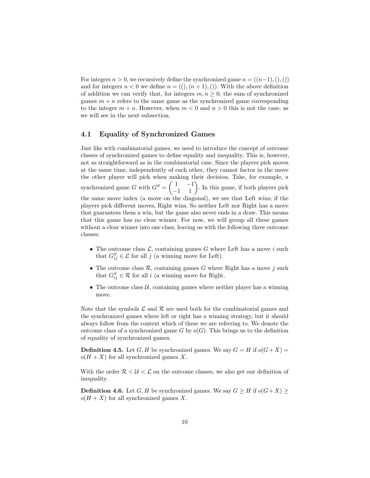For integers  $n > 0$ , we recursively define the synchronized game  $n = ((n-1),(),())$ and for integers  $n < 0$  we define  $n = ((), (n + 1),))$ . With the above definition of addition we can verify that, for integers  $m, n \geq 0$ , the sum of synchronized games  $m + n$  refers to the same game as the synchronized game corresponding to the integer  $m + n$ . However, when  $m < 0$  and  $n > 0$  this is not the case, as we will see in the next subsection.

### <span id="page-11-0"></span>4.1 Equality of Synchronized Games

Just like with combinatorial games, we need to introduce the concept of outcome classes of synchronized games to define equality and inequality. This is, however, not as straightforward as in the combinatorial case. Since the players pick moves at the same time, independently of each other, they cannot factor in the move the other player will pick when making their decision. Take, for example, a synchronized game G with  $G^S = \begin{pmatrix} 1 & -1 \\ -1 & 1 \end{pmatrix}$ . In this game, if both players pick the same move index (a move on the diagonal), we see that Left wins; if the players pick different moves, Right wins. So neither Left nor Right has a move that guarantees them a win, but the game also never ends in a draw. This means that this game has no clear winner. For now, we will group all these games without a clear winner into one class, leaving us with the following three outcome classes:

- The outcome class  $\mathcal{L}$ , containing games G where Left has a move i such that  $G_{ij}^S \in \mathcal{L}$  for all j (a winning move for Left).
- The outcome class  $\mathcal{R}$ , containing games  $G$  where Right has a move j such that  $G_{ij}^S \in \mathcal{R}$  for all i (a winning move for Right.
- The outcome class  $U$ , containing games where neither player has a winning move.

Note that the symbols  $\mathcal L$  and  $\mathcal R$  are used both for the combinatorial games and the synchronized games where left or right has a winning strategy, but it should always follow from the context which of these we are referring to. We denote the outcome class of a synchronized game G by  $o(G)$ . This brings us to the definition of equality of synchronized games.

**Definition 4.5.** Let G, H be synchronized games. We say  $G = H$  if  $o(G+X) =$  $o(H+X)$  for all synchronized games X.

With the order  $\mathcal{R} < \mathcal{U} < \mathcal{L}$  on the outcome classes, we also get our definition of inequality.

**Definition 4.6.** Let G, H be synchronized games. We say  $G \geq H$  if  $o(G+X) \geq$  $o(H+X)$  for all synchronized games X.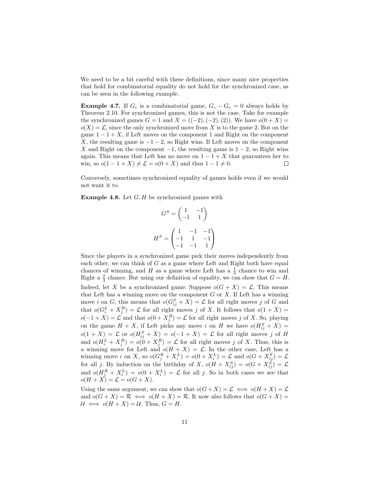We need to be a bit careful with these definitions, since many nice properties that hold for combinatorial equality do not hold for the synchronized case, as can be seen in the following example.

**Example 4.7.** If  $G_c$  is a combinatorial game,  $G_c - G_c = 0$  always holds by Theorem [2.10.](#page-5-1) For synchronized games, this is not the case. Take for example the synchronized games  $G = 1$  and  $X = ((-2), (-2), (2))$ . We have  $o(0 + X) =$  $o(X) = \mathcal{L}$ , since the only synchronized move from X is to the game 2. But on the game  $1 - 1 + X$ , if Left moves on the component 1 and Right on the component X, the resulting game is  $-1-2$ , so Right wins. If Left moves on the component X and Right on the component  $-1$ , the resulting game is  $1-2$ , so Right wins again. This means that Left has no move on  $1 - 1 + X$  that guarantees her to win, so  $o(1 - 1 + X) \neq \mathcal{L} = o(0 + X)$  and thus  $1 - 1 \neq 0$ .  $\Box$ 

Conversely, sometimes synchronized equality of games holds even if we would not want it to.

**Example 4.8.** Let  $G$ ,  $H$  be synchronized games with

$$
G^{S} = \begin{pmatrix} 1 & -1 \\ -1 & 1 \end{pmatrix}
$$

$$
H^{S} = \begin{pmatrix} 1 & -1 & -1 \\ -1 & 1 & -1 \\ -1 & -1 & 1 \end{pmatrix}
$$

Since the players in a synchronized game pick their moves independently from each other, we can think of  $G$  as a game where Left and Right both have equal chances of winning, and H as a game where Left has a  $\frac{1}{3}$  chance to win and Right a  $\frac{2}{3}$  chance. But using our definition of equality, we can show that  $G = H$ . Indeed, let X be a synchronized game. Suppose  $o(G+X) = \mathcal{L}$ . This means that Left has a winning move on the component  $G$  or  $X$ . If Left has a winning move *i* on *G*, this means that  $o(G_{ij}^S + X) = \mathcal{L}$  for all right moves *j* of *G* and that  $o(G_i^L + X_j^R) = \mathcal{L}$  for all right moves j of X. It follows that  $o(1 + X) =$  $o(-1+X) = \mathcal{L}$  and that  $o(0+X_j^R) = \mathcal{L}$  for all right moves j of X. So, playing on the game  $H + X$ , if Left picks any move i on H we have  $o(H_{ij}^S + X)$  =  $o(1+X) = \mathcal{L}$  or  $o(H_{ij}^S + X) = o(-1+X) = \mathcal{L}$  for all right moves j of H and  $o(H_i^L + X_j^R) = o(0 + X_j^R) = \mathcal{L}$  for all right moves j of X. Thus, this is a winning move for Left and  $o(H + X) = \mathcal{L}$ . In the other case, Left has a winning move *i* on X, so  $o(G_j^R + X_i^L) = o(0 + X_i^L) = \mathcal{L}$  and  $o(G + X_{ij}^S) = \mathcal{L}$ for all j. By induction on the birthday of X,  $o(H + X_{ij}^S) = o(G + X_{ij}^S) = \mathcal{L}$ and  $o(H_j^R + X_i^L) = o(0 + X_i^L) = \mathcal{L}$  for all j. So in both cases we see that  $o(H+X) = \mathcal{L} = o(G+X).$ 

Using the same argument, we can show that  $o(G+X) = \mathcal{L} \iff o(H+X) = \mathcal{L}$ and  $o(G+X) = \mathcal{R} \iff o(H+X) = \mathcal{R}$ . It now also follows that  $o(G+X) =$  $U \iff o(H + X) = U$ . Thus,  $G = H$ .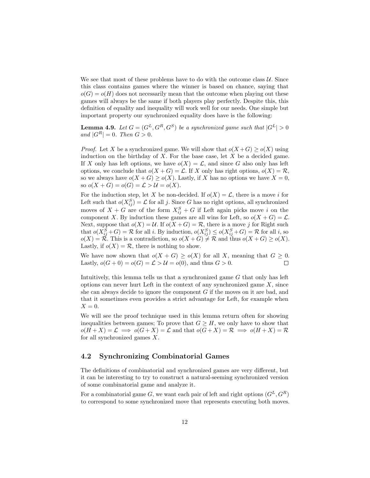We see that most of these problems have to do with the outcome class  $U$ . Since this class contains games where the winner is based on chance, saying that  $o(G) = o(H)$  does not necessarily mean that the outcome when playing out these games will always be the same if both players play perfectly. Despite this, this definition of equality and inequality will work well for our needs. One simple but important property our synchronized equality does have is the following:

<span id="page-13-1"></span>**Lemma 4.9.** Let  $G = (G^L, G^R, G^S)$  be a synchronized game such that  $|G^L| > 0$ and  $|G^R| = 0$ . Then  $G > 0$ .

*Proof.* Let X be a synchronized game. We will show that  $o(X+G) \geq o(X)$  using induction on the birthday of  $X$ . For the base case, let  $X$  be a decided game. If X only has left options, we have  $o(X) = \mathcal{L}$ , and since G also only has left options, we conclude that  $o(X+G) = \mathcal{L}$ . If X only has right options,  $o(X) = \mathcal{R}$ , so we always have  $o(X+G) \geq o(X)$ . Lastly, if X has no options we have  $X = 0$ , so  $o(X + G) = o(G) = \mathcal{L} > \mathcal{U} = o(X)$ .

For the induction step, let X be non-decided. If  $o(X) = \mathcal{L}$ , there is a move i for Left such that  $o(X_{ij}^S) = \mathcal{L}$  for all j. Since G has no right options, all synchronized moves of  $X + G$  are of the form  $X_{ij}^S + G$  if Left again picks move i on the component X. By induction these games are all wins for Left, so  $o(X+G) = \mathcal{L}$ . Next, suppose that  $o(X) = U$ . If  $o(X + G) = \mathcal{R}$ , there is a move j for Right such that  $o(X_{ij}^S + G) = \mathcal{R}$  for all i. By induction,  $o(X_{ij}^S) \leq o(X_{ij}^S + G) = \mathcal{R}$  for all i, so  $o(X) = \mathcal{R}$ . This is a contradiction, so  $o(X+G) \neq \mathcal{R}$  and thus  $o(X+G) \geq o(X)$ . Lastly, if  $o(X) = \mathcal{R}$ , there is nothing to show.

We have now shown that  $o(X+G) \geq o(X)$  for all X, meaning that  $G \geq 0$ . Lastly,  $o(G+0) = o(G) = \mathcal{L} > \mathcal{U} = o(0)$ , and thus  $G > 0$ .  $\Box$ 

Intuitively, this lemma tells us that a synchronized game G that only has left options can never hurt Left in the context of any synchronized game  $X$ , since she can always decide to ignore the component  $G$  if the moves on it are bad, and that it sometimes even provides a strict advantage for Left, for example when  $X = 0.$ 

We will see the proof technique used in this lemma return often for showing inequalities between games; To prove that  $G \geq H$ , we only have to show that  $o(H+X) = \mathcal{L} \implies o(G+X) = \mathcal{L}$  and that  $o(G+X) = \mathcal{R} \implies o(H+X) = \mathcal{R}$ for all synchronized games X.

#### <span id="page-13-0"></span>4.2 Synchronizing Combinatorial Games

The definitions of combinatorial and synchronized games are very different, but it can be interesting to try to construct a natural-seeming synchronized version of some combinatorial game and analyze it.

For a combinatorial game G, we want each pair of left and right options  $(G^L, G^R)$ to correspond to some synchronized move that represents executing both moves.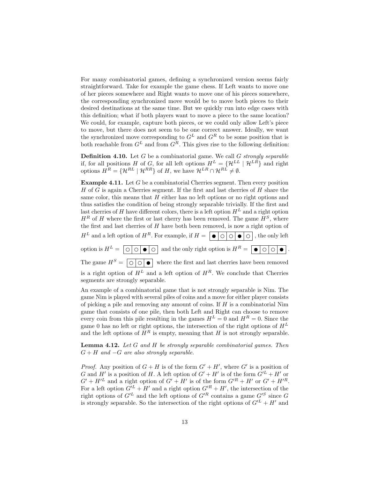For many combinatorial games, defining a synchronized version seems fairly straightforward. Take for example the game chess. If Left wants to move one of her pieces somewhere and Right wants to move one of his pieces somewhere, the corresponding synchronized move would be to move both pieces to their desired destinations at the same time. But we quickly run into edge cases with this definition; what if both players want to move a piece to the same location? We could, for example, capture both pieces, or we could only allow Left's piece to move, but there does not seem to be one correct answer. Ideally, we want the synchronized move corresponding to  $G^L$  and  $G^R$  to be some position that is both reachable from  $G^L$  and from  $G^R$ . This gives rise to the following definition:

**Definition 4.10.** Let  $G$  be a combinatorial game. We call  $G$  strongly separable if, for all positions H of G, for all left options  $H^L = \{H^{LL} | H^{LR}\}\$ and right options  $H^R = \{H^{RL} | H^{RR}\}\$  of H, we have  $H^{LR} \cap H^{RL} \neq \emptyset$ .

<span id="page-14-0"></span>**Example 4.11.** Let  $G$  be a combinatorial Cherries segment. Then every position  $H$  of  $G$  is again a Cherries segment. If the first and last cherries of  $H$  share the same color, this means that  $H$  either has no left options or no right options and thus satisfies the condition of being strongly separable trivially. If the first and last cherries of H have different colors, there is a left option  $H<sup>L</sup>$  and a right option  $H^R$  of H where the first or last cherry has been removed. The game  $H^S$ , where the first and last cherries of  $H$  have both been removed, is now a right option of H<sup>L</sup> and a left option of HR. For example, if H = , the only left option is  $H^L = \overline{\bigcirc \bigcirc \bigcirc \bullet \bigcirc}$  and the only right option is  $H^R = \overline{\bigcirc \bigcirc \bigcirc \bullet}$ . The game  $H^S = \overline{\bigcirc \bigcirc \bigcirc}$  where the first and last cherries have been removed is a right option of  $H^L$  and a left option of  $H^R$ . We conclude that Cherries

segments are strongly separable.

An example of a combinatorial game that is not strongly separable is Nim. The game Nim is played with several piles of coins and a move for either player consists of picking a pile and removing any amount of coins. If  $H$  is a combinatorial Nim game that consists of one pile, then both Left and Right can choose to remove every coin from this pile resulting in the games  $H^L = 0$  and  $H^R = 0$ . Since the game 0 has no left or right options, the intersection of the right options of  $H^L$ and the left options of  $H^R$  is empty, meaning that H is not strongly separable.

**Lemma 4.12.** Let  $G$  and  $H$  be strongly separable combinatorial games. Then  $G + H$  and  $-G$  are also strongly separable.

*Proof.* Any position of  $G + H$  is of the form  $G' + H'$ , where  $G'$  is a position of G and H' is a position of H. A left option of  $G' + H'$  is of the form  $G'^L + H'$  or  $G' + H'^L$  and a right option of  $G' + H'$  is of the form  $G'^R + H'$  or  $G' + H'^R$ . For a left option  $G'^L + H'$  and a right option  $G'^R + H'$ , the intersection of the right options of  $G'^L$  and the left options of  $G'^R$  contains a game  $G'^S$  since G is strongly separable. So the intersection of the right options of  $G^{L} + H'$  and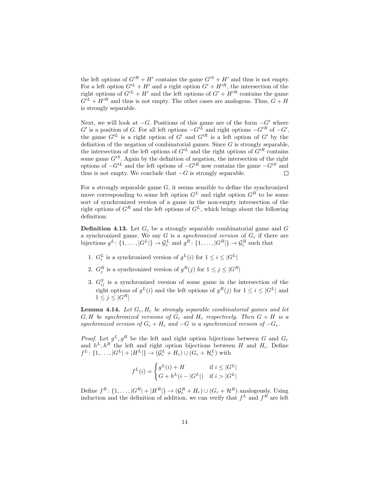the left options of  $G'^R + H'$  contains the game  $G'^S + H'$  and thus is not empty. For a left option  $G^{\prime L} + H^{\prime}$  and a right option  $G^{\prime} + H^{\prime R}$ , the intersection of the right options of  $G^{\prime L} + H^{\prime}$  and the left options of  $G^{\prime} + H^{\prime R}$  contains the game  $G/L + H/R$  and thus is not empty. The other cases are analogous. Thus,  $G + H$ is strongly separable.

Next, we will look at  $-G$ . Positions of this game are of the form  $-G'$  where G' is a position of G. For all left options  $-G'^L$  and right options  $-G'^R$  of  $-G'$ , the game  $G^{L}$  is a right option of G' and  $G^{R}$  is a left option of G' by the definition of the negation of combinatorial games. Since  $G$  is strongly separable, the intersection of the left options of  $G^{\prime L}$  and the right options of  $G^{\prime R}$  contains some game  $G^{S}$ . Again by the definition of negation, the intersection of the right options of  $-G^{\prime L}$  and the left options of  $-G^{\prime R}$  now contains the game  $-G^{\prime S}$  and thus is not empty. We conclude that  $-G$  is strongly separable.

For a strongly separable game  $G$ , it seems sensible to define the synchronized move corresponding to some left option  $G<sup>L</sup>$  and right option  $G<sup>R</sup>$  to be some sort of synchronized version of a game in the non-empty intersection of the right options of  $G<sup>R</sup>$  and the left options of  $G<sup>L</sup>$ , which brings about the following definition:

<span id="page-15-0"></span>**Definition 4.13.** Let  $G_c$  be a strongly separable combinatorial game and  $G$ a synchronized game. We say  $G$  is a *synchronized version* of  $G_c$  if there are bijections  $g^L: \{1, ..., |G^L|\} \to \mathcal{G}_c^L$  and  $g^R: \{1, ..., |G^R|\} \to \mathcal{G}_c^R$  such that

- 1.  $G_i^L$  is a synchronized version of  $g^L(i)$  for  $1 \leq i \leq |G^L|$
- 2.  $G_j^R$  is a synchronized version of  $g^R(j)$  for  $1 \leq j \leq |G^R|$
- 3.  $G_{ij}^S$  is a synchronized version of some game in the intersection of the right options of  $g^L(i)$  and the left options of  $g^R(j)$  for  $1 \leq i \leq |G^L|$  and  $1 \leq j \leq |G^R|$

<span id="page-15-1"></span>**Lemma 4.14.** Let  $G_c$ ,  $H_c$  be strongly separable combinatorial games and let  $G, H$  be synchronized versions of  $G_c$  and  $H_c$  respectively. Then  $G + H$  is a synchronized version of  $G_c + H_c$  and  $-G$  is a synchronized version of  $-G_c$ .

*Proof.* Let  $g^L, g^R$  be the left and right option bijections between G and  $G_c$ and  $h^L, h^R$  the left and right option bijections between H and  $H_c$ . Define  $f^L: \{1, \ldots, |G^L| + |H^L|\} \rightarrow (\mathcal{G}_c^L + H_c) \cup (G_c + \mathcal{H}_c^L)$  with

$$
f^{L}(i) = \begin{cases} g^{L}(i) + H & \text{if } i \leq |G^{L}| \\ G + h^{L}(i - |G^{L}|) & \text{if } i > |G^{L}| \end{cases}
$$

Define  $f^R$ :  $\{1, ..., |G^R| + |H^R|\}$   $\rightarrow$   $(\mathcal{G}_c^R + H_c) \cup (G_c + \mathcal{H}^R)$  analogously. Using induction and the definition of addition, we can verify that  $f<sup>L</sup>$  and  $f<sup>R</sup>$  are left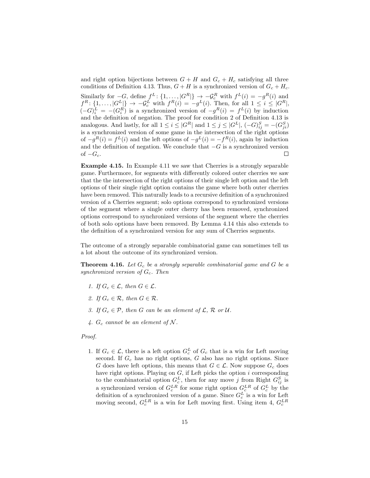and right option bijections between  $G + H$  and  $G_c + H_c$  satisfying all three conditions of Definition [4.13.](#page-15-0) Thus,  $G + H$  is a synchronized version of  $G_c + H_c$ . Similarly for  $-G$ , define  $f^L: \{1, \ldots, |G^R|\} \to -\mathcal{G}_c^R$  with  $f^L(i) = -g^R(i)$  and  $f^R$ :  $\{1,\ldots,|G^L|\}$   $\rightarrow$   $-\mathcal{G}_c^L$  with  $f^R(i) = -g^L(i)$ . Then, for all  $1 \leq i \leq |G^R|$ ,  $(-G)^L_i = -(G^R_i)$  is a synchronized version of  $-g^R(i) = f^L(i)$  by induction and the definition of negation. The proof for condition 2 of Definition [4.13](#page-15-0) is analogous. And lastly, for all  $1 \leq i \leq |G^R|$  and  $1 \leq j \leq |G^L|$ ,  $(-G)_{ij}^S = -(G_{ji}^S)$ is a synchronized version of some game in the intersection of the right options of  $-g<sup>R</sup>(i) = f<sup>L</sup>(i)$  and the left options of  $-g<sup>L</sup>(i) = -f<sup>R</sup>(i)$ , again by induction and the definition of negation. We conclude that  $-G$  is a synchronized version of  $-G_c$ .  $\Box$ 

<span id="page-16-0"></span>Example 4.15. In Example [4.11](#page-14-0) we saw that Cherries is a strongly separable game. Furthermore, for segments with differently colored outer cherries we saw that the the intersection of the right options of their single left option and the left options of their single right option contains the game where both outer cherries have been removed. This naturally leads to a recursive definition of a synchronized version of a Cherries segment; solo options correspond to synchronized versions of the segment where a single outer cherry has been removed, synchronized options correspond to synchronized versions of the segment where the cherries of both solo options have been removed. By Lemma [4.14](#page-15-1) this also extends to the definition of a synchronized version for any sum of Cherries segments.

The outcome of a strongly separable combinatorial game can sometimes tell us a lot about the outcome of its synchronized version.

<span id="page-16-1"></span>**Theorem 4.16.** Let  $G_c$  be a strongly separable combinatorial game and  $G$  be a synchronized version of  $G_c$ . Then

- 1. If  $G_c \in \mathcal{L}$ , then  $G \in \mathcal{L}$ .
- 2. If  $G_c \in \mathcal{R}$ , then  $G \in \mathcal{R}$ .
- 3. If  $G_c \in \mathcal{P}$ , then G can be an element of  $\mathcal{L}, \mathcal{R}$  or U.
- 4.  $G_c$  cannot be an element of N.

#### Proof.

1. If  $G_c \in \mathcal{L}$ , there is a left option  $G_c^L$  of  $G_c$  that is a win for Left moving second. If  $G_c$  has no right options,  $G$  also has no right options. Since G does have left options, this means that  $G \in \mathcal{L}$ . Now suppose  $G_c$  does have right options. Playing on  $G$ , if Left picks the option  $i$  corresponding to the combinatorial option  $G_c^L$ , then for any move j from Right  $G_{ij}^S$  is a synchronized version of  $G_c^{LR}$  for some right option  $G_c^{LR}$  of  $G_c^L$  by the definition of a synchronized version of a game. Since  $G_c^L$  is a win for Left moving second,  $G_c^{LR}$  is a win for Left moving first. Using item 4,  $G_c^{LR}$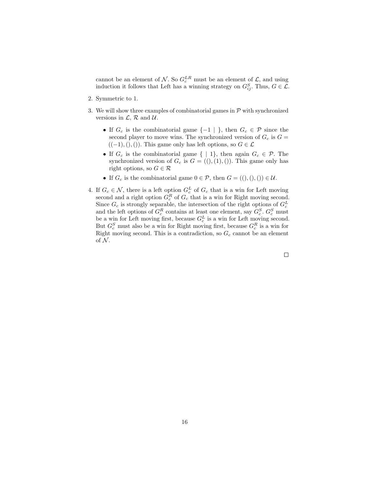cannot be an element of  $N$ . So  $G_c^{LR}$  must be an element of  $\mathcal{L}$ , and using induction it follows that Left has a winning strategy on  $G_{ij}^S$ . Thus,  $G \in \mathcal{L}$ .

- 2. Symmetric to 1.
- 3. We will show three examples of combinatorial games in  $\mathcal P$  with synchronized versions in  $\mathcal{L}, \mathcal{R}$  and  $\mathcal{U}.$ 
	- If  $G_c$  is the combinatorial game  $\{-1 \mid \}$ , then  $G_c \in \mathcal{P}$  since the second player to move wins. The synchronized version of  $G_c$  is  $G =$  $((-1),(),(),)$ . This game only has left options, so  $G \in \mathcal{L}$
	- If  $G_c$  is the combinatorial game  $\{ \mid 1 \}$ , then again  $G_c \in \mathcal{P}$ . The synchronized version of  $G_c$  is  $G = ((), (1), ())$ . This game only has right options, so  $G \in \mathcal{R}$
	- If  $G_c$  is the combinatorial game  $0 \in \mathcal{P}$ , then  $G = ((),)) ( ) \in \mathcal{U}$ .
- 4. If  $G_c \in \mathcal{N}$ , there is a left option  $G_c^L$  of  $G_c$  that is a win for Left moving second and a right option  $G_c^R$  of  $G_c$  that is a win for Right moving second. Since  $G_c$  is strongly separable, the intersection of the right options of  $G_c^L$ and the left options of  $G_c^R$  contains at least one element, say  $G_c^S$ .  $G_c^S$  must be a win for Left moving first, because  $G_c^L$  is a win for Left moving second. But  $G_c^S$  must also be a win for Right moving first, because  $G_c^R$  is a win for Right moving second. This is a contradiction, so  $G_c$  cannot be an element of  $\mathcal N$ .

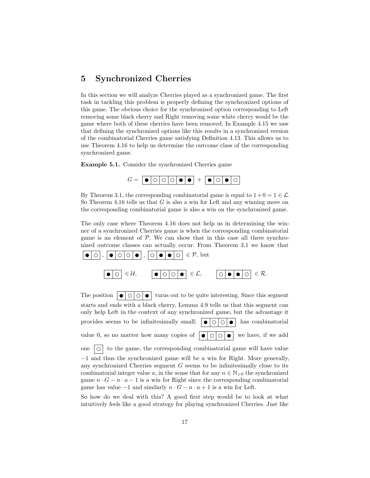## <span id="page-18-0"></span>5 Synchronized Cherries

In this section we will analyze Cherries played as a synchronized game. The first task in tackling this problem is properly defining the synchronized options of this game. The obvious choice for the synchronized option corresponding to Left removing some black cherry and Right removing some white cherry would be the game where both of these cherries have been removed. In Example [4.15](#page-16-0) we saw that defining the synchronized options like this results in a synchronized version of the combinatorial Cherries game satisfying Definition [4.13.](#page-15-0) This allows us to use Theorem [4.16](#page-16-1) to help us determine the outcome class of the corresponding synchronized game.

Example 5.1. Consider the synchronized Cherries game



By Theorem [3.1,](#page-8-1) the corresponding combinatorial game is equal to  $1+0=1 \in \mathcal{L}$ . So Theorem [4.16](#page-16-1) tells us that  $G$  is also a win for Left and any winning move on the corresponding combinatorial game is also a win on the synchronized game.

The only case where Theorem [4.16](#page-16-1) does not help us in determining the winner of a synchronized Cherries game is when the corresponding combinatorial game is an element of  $P$ . We can show that in this case all three synchronized outcome classes can actually occur. From Theorem [3.1](#page-8-1) we know that



The position  $\boxed{\bullet \circ \circ \circ \bullet}$  turns out to be quite interesting. Since this segment starts and ends with a black cherry, Lemma [4.9](#page-13-1) tells us that this segment can only help Left in the context of any synchronized game, but the advantage it provides seems to be infinitesimally small;  $\left| \bullet \right| \circ \left| \circ \right| \bullet$  has combinatorial value 0, so no matter how many copies of  $\bigcirc \bigcirc \bigcirc \bigcirc \bullet \bigcirc$  we have, if we add one  $\vert \circ \vert$  to the game, the corresponding combinatorial game will have value −1 and thus the synchronized game will be a win for Right. More generally, any synchronized Cherries segment  $G$  seems to be infinitesimally close to its combinatorial integer value a, in the sense that for any  $n \in \mathbb{N}_{>0}$  the synchronized game  $n \cdot G - n \cdot a - 1$  is a win for Right since the corresponding combinatorial game has value  $-1$  and similarly  $n \cdot G - n \cdot a + 1$  is a win for Left.

So how do we deal with this? A good first step would be to look at what intuitively feels like a good strategy for playing synchronized Cherries. Just like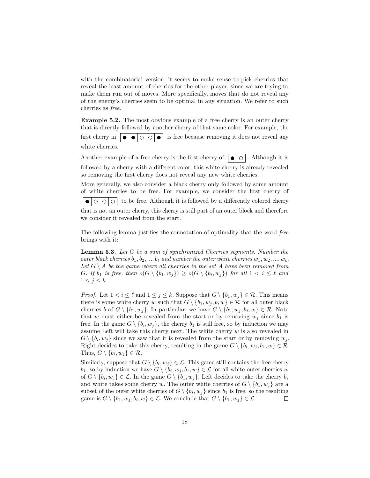with the combinatorial version, it seems to make sense to pick cherries that reveal the least amount of cherries for the other player, since we are trying to make them run out of moves. More specifically, moves that do not reveal any of the enemy's cherries seem to be optimal in any situation. We refer to such cherries as free.

Example 5.2. The most obvious example of a free cherry is an outer cherry that is directly followed by another cherry of that same color. For example, the first cherry in  $\vert \bullet \vert \bullet \vert \circ \vert \circ \vert \bullet \vert$  is free because removing it does not reveal any white cherries.

Another example of a free cherry is the first cherry of  $\vert \bullet \vert \circ \vert$ . Although it is followed by a cherry with a different color, this white cherry is already revealed so removing the first cherry does not reveal any new white cherries.

More generally, we also consider a black cherry only followed by some amount of white cherries to be free. For example, we consider the first cherry of  $\bullet$   $\circ$   $\circ$   $\circ$   $\circ$  to be free. Although it is followed by a differently colored cherry that is not an outer cherry, this cherry is still part of an outer block and therefore we consider it revealed from the start.

The following lemma justifies the connotation of optimality that the word free brings with it:

Lemma 5.3. Let G be a sum of synchronized Cherries segments. Number the outer black cherries  $b_1, b_2, ..., b_\ell$  and number the outer white cherries  $w_1, w_2, ..., w_k$ . Let  $G \setminus A$  be the game where all cherries in the set A have been removed from G. If  $b_1$  is free, then  $o(G \setminus \{b_1, w_j\}) \geq o(G \setminus \{b_i, w_j\})$  for all  $1 < i \leq \ell$  and  $1 \leq j \leq k$ .

*Proof.* Let  $1 < i \leq \ell$  and  $1 \leq j \leq k$ . Suppose that  $G \setminus \{b_1, w_j\} \in \mathcal{R}$ . This means there is some white cherry w such that  $G \setminus \{b_1, w_j, b, w\} \in \mathcal{R}$  for all outer black cherries b of  $G \setminus \{b_1, w_j\}$ . In particular, we have  $G \setminus \{b_1, w_j, b_i, w\} \in \mathcal{R}$ . Note that w must either be revealed from the start or by removing  $w_j$  since  $b_1$  is free. In the game  $G \setminus \{b_i, w_j\}$ , the cherry  $b_1$  is still free, so by induction we may assume Left will take this cherry next. The white cherry  $w$  is also revealed in  $G \setminus \{b_i, w_j\}$  since we saw that it is revealed from the start or by removing  $w_j$ . Right decides to take this cherry, resulting in the game  $G \setminus \{b_i, w_j, b_1, w\} \in \mathcal{R}$ . Thus,  $G \setminus \{b_i, w_j\} \in \mathcal{R}$ .

Similarly, suppose that  $G \setminus \{b_i, w_j\} \in \mathcal{L}$ . This game still contains the free cherry  $b_1$ , so by induction we have  $G \setminus \{b_i, w_j, b_1, w\} \in \mathcal{L}$  for all white outer cherries w of  $G \setminus \{b_i, w_j\} \in \mathcal{L}$ . In the game  $G \setminus \{b_1, w_j\}$ , Left decides to take the cherry  $b_i$ and white takes some cherry w. The outer white cherries of  $G \setminus \{b_1, w_j\}$  are a subset of the outer white cherries of  $G \setminus \{b_i, w_j\}$  since  $b_1$  is free, so the resulting game is  $G \setminus \{b_1, w_j, b_i, w\} \in \mathcal{L}$ . We conclude that  $G \setminus \{b_1, w_j\} \in \mathcal{L}$ .  $\Box$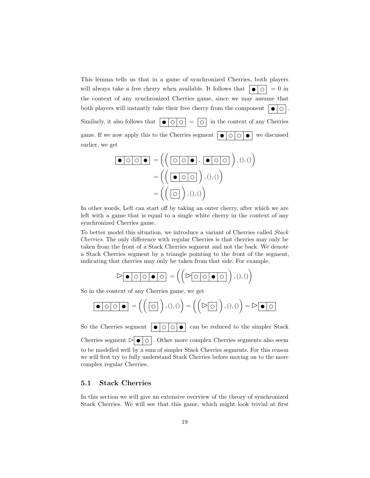This lemma tells us that in a game of synchronized Cherries, both players will always take a free cherry when available. It follows that  $\left| \bullet \right| \circ \left| = 0 \right|$  in the context of any synchronized Cherries game, since we may assume that both players will instantly take their free cherry from the component  $| \bullet | \circ |$ . Similarly, it also follows that  $\boxed{\bullet \circ \circ}$  =  $\boxed{\circ}$  in the context of any Cherries game. If we now apply this to the Cherries segment  $\partial \circ \circ \circ \circ \circ$  we discussed earlier, we get

= , ,(),() = ,(),() = ,(),()

In other words, Left can start off by taking an outer cherry, after which we are left with a game that is equal to a single white cherry in the context of any synchronized Cherries game.

To better model this situation, we introduce a variant of Cherries called Stack Cherries. The only difference with regular Cherries is that cherries may only be taken from the front of a Stack Cherries segment and not the back. We denote a Stack Cherries segment by a triangle pointing to the front of the segment, indicating that cherries may only be taken from that side. For example,

$$
\triangleright \boxed{\bullet \bigcirc \bigcirc \bigcirc \bullet \bigcirc \bigg)} = \left( \left( \triangleright \boxed{\circ \bigcirc \bullet \bigcirc} \right), ( ), () \right)
$$

So in the context of any Cherries game, we get

$$
\boxed{\bullet\circ\circ\circ\bullet}=\left(\left(\begin{array}{c}\circ\circ\\ \circ\circ\end{array}\right),0,0\right)=\left(\left(\begin{array}{c}\circ\circ\circ\\ \circ\circ\end{array}\right),0,0\right)=\rhd\boxed{\bullet\circ\circ}
$$

So the Cherries segment  $\vert \bullet \vert \circ \vert \circ \vert \bullet \vert$  can be reduced to the simpler Stack Cherries segment  $\triangleright$   $\bullet$   $\circ$   $\cdot$  Other more complex Cherries segments also seem to be modelled well by a sum of simpler Stack Cherries segments. For this reason we will first try to fully understand Stack Cherries before moving on to the more complex regular Cherries.

### <span id="page-20-0"></span>5.1 Stack Cherries

In this section we will give an extensive overview of the theory of synchronized Stack Cherries. We will see that this game, which might look trivial at first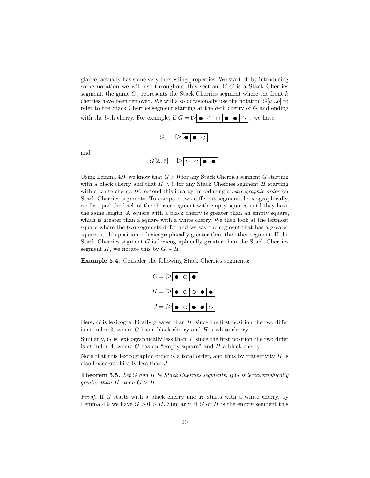glance, actually has some very interesting properties. We start off by introducing some notation we will use throughout this section. If G is a Stack Cherries segment, the game  $G_k$  represents the Stack Cherries segment where the front  $k$ cherries have been removed. We will also occasionally use the notation  $G[a...b]$  to refer to the Stack Cherries segment starting at the a-th cherry of G and ending with the b-th cherry. For example, if  $G = \triangleright \bullet \circ \circ \circ \bullet \bullet$ , we have

$$
G_3 = \triangleright \boxed{\bullet \ \bullet \ \circ}
$$

and

$$
G[2...5] = \triangleright \boxed{\circ \circ \bullet \bullet \bullet}
$$

Using Lemma [4.9,](#page-13-1) we know that  $G > 0$  for any Stack Cherries segment G starting with a black cherry and that  $H < 0$  for any Stack Cherries segment H starting with a white cherry. We extend this idea by introducing a *lexicographic order* on Stack Cherries segments. To compare two different segments lexicographically, we first pad the back of the shorter segment with empty squares until they have the same length. A square with a black cherry is greater than an empty square, which is greater than a square with a white cherry. We then look at the leftmost square where the two segments differ and we say the segment that has a greater square at this position is lexicographically greater than the other segment. If the Stack Cherries segment  $G$  is lexicographically greater than the Stack Cherries segment H, we notate this by  $G \succ H$ .

Example 5.4. Consider the following Stack Cherries segments:



Here,  $G$  is lexicographically greater than  $H$ , since the first position the two differ is at index 3, where  $G$  has a black cherry and  $H$  a white cherry.

Similarly, G is lexicographically less than  $J$ , since the first position the two differ is at index 4, where  $G$  has an "empty square" and  $H$  a black cherry.

Note that this lexicographic order is a total order, and thus by transitivity  $H$  is also lexicographically less than J.

Theorem 5.5. Let G and H be Stack Cherries segments. If G is lexicographically qreater than  $H$ , then  $G > H$ .

*Proof.* If G starts with a black cherry and  $H$  starts with a white cherry, by Lemma [4.9](#page-13-1) we have  $G > 0 > H$ . Similarly, if G or H is the empty segment this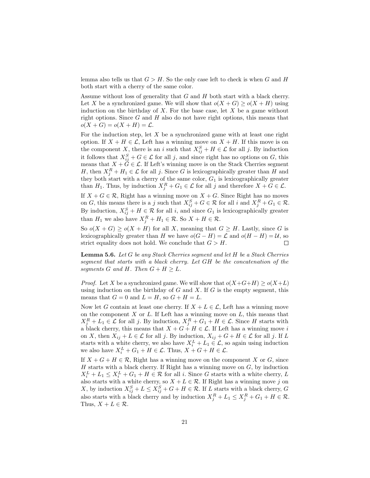lemma also tells us that  $G > H$ . So the only case left to check is when G and H both start with a cherry of the same color.

Assume without loss of generality that  $G$  and  $H$  both start with a black cherry. Let X be a synchronized game. We will show that  $o(X+G) \geq o(X+H)$  using induction on the birthday of  $X$ . For the base case, let  $X$  be a game without right options. Since  $G$  and  $H$  also do not have right options, this means that  $o(X+G) = o(X+H) = \mathcal{L}.$ 

For the induction step, let  $X$  be a synchronized game with at least one right option. If  $X + H \in \mathcal{L}$ , Left has a winning move on  $X + H$ . If this move is on the component X, there is an i such that  $X_{ij}^S + H \in \mathcal{L}$  for all j. By induction it follows that  $X_{ij}^S + G \in \mathcal{L}$  for all j, and since right has no options on G, this means that  $X + \check{G} \in \mathcal{L}$ . If Left's winning move is on the Stack Cherries segment H, then  $X_j^R + H_1 \in \mathcal{L}$  for all j. Since G is lexicographically greater than H and they both start with a cherry of the same color,  $G_1$  is lexicographically greater than  $H_1$ . Thus, by induction  $X_j^R + G_1 \in \mathcal{L}$  for all j and therefore  $X + G \in \mathcal{L}$ .

If  $X + G \in \mathcal{R}$ , Right has a winning move on  $X + G$ . Since Right has no moves on G, this means there is a j such that  $X_{ij}^S + G \in \mathcal{R}$  for all i and  $X_j^R + G_1 \in \mathcal{R}$ . By induction,  $X_{ij}^S + H \in \mathcal{R}$  for all i, and since  $G_1$  is lexicographically greater than  $H_1$  we also have  $X_j^R + H_1 \in \mathcal{R}$ . So  $X + H \in \mathcal{R}$ .

So  $o(X+G) \geq o(X+H)$  for all X, meaning that  $G \geq H$ . Lastly, since G is lexicographically greater than H we have  $o(G - H) = \mathcal{L}$  and  $o(H - H) = \mathcal{U}$ , so strict equality does not hold. We conclude that  $G > H$ .  $\Box$ 

<span id="page-22-0"></span>**Lemma 5.6.** Let G be any Stack Cherries segment and let H be a Stack Cherries segment that starts with a black cherry. Let GH be the concatenation of the segments G and H. Then  $G + H \geq L$ .

*Proof.* Let X be a synchronized game. We will show that  $o(X+G+H) > o(X+L)$ using induction on the birthday of  $G$  and  $X$ . If  $G$  is the empty segment, this means that  $G = 0$  and  $L = H$ , so  $G + H = L$ .

Now let G contain at least one cherry. If  $X + L \in \mathcal{L}$ , Left has a winning move on the component  $X$  or  $L$ . If Left has a winning move on  $L$ , this means that  $X_j^R + L_1 \in \mathcal{L}$  for all j. By induction,  $X_j^R + G_1 + H \in \mathcal{L}$ . Since H starts with a black cherry, this means that  $X + G + H \in \mathcal{L}$ . If Left has a winning move i on X, then  $X_{ij} + L \in \mathcal{L}$  for all j. By induction,  $X_{ij} + G + H \in \mathcal{L}$  for all j. If L starts with a white cherry, we also have  $X_i^L + L_1 \in \mathcal{L}$ , so again using induction we also have  $X_i^L + G_1 + H \in \mathcal{L}$ . Thus,  $X + G + H \in \mathcal{L}$ .

If  $X + G + H \in \mathcal{R}$ , Right has a winning move on the component X or G, since  $H$  starts with a black cherry. If Right has a winning move on  $G$ , by induction  $X_i^L + L_1 \leq X_i^L + G_1 + H \in \mathcal{R}$  for all *i*. Since G starts with a white cherry, L also starts with a white cherry, so  $X + L \in \mathcal{R}$ . If Right has a winning move j on X, by induction  $X_{ij}^S + L \leq X_{ij}^S + G + H \in \mathcal{R}$ . If L starts with a black cherry, G also starts with a black cherry and by induction  $X_j^R + L_1 \leq X_j^R + G_1 + H \in \mathcal{R}$ . Thus,  $X + L \in \mathcal{R}$ .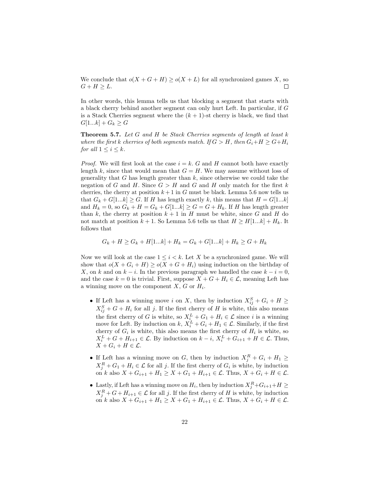We conclude that  $o(X+G+H) \geq o(X+L)$  for all synchronized games X, so  $G + H \geq L$ .  $\Box$ 

In other words, this lemma tells us that blocking a segment that starts with a black cherry behind another segment can only hurt Left. In particular, if G is a Stack Cherries segment where the  $(k + 1)$ -st cherry is black, we find that  $G[1...k] + G_k \ge G$ 

<span id="page-23-0"></span>Theorem 5.7. Let G and H be Stack Cherries segments of length at least k where the first k cherries of both segments match. If  $G > H$ , then  $G_i + H \geq G + H_i$ for all  $1 \leq i \leq k$ .

*Proof.* We will first look at the case  $i = k$ . G and H cannot both have exactly length k, since that would mean that  $G = H$ . We may assume without loss of generality that G has length greater than  $k$ , since otherwise we could take the negation of G and H. Since  $G > H$  and G and H only match for the first k cherries, the cherry at position  $k+1$  in G must be black. Lemma [5.6](#page-22-0) now tells us that  $G_k + G[1...k] \geq G$ . If H has length exactly k, this means that  $H = G[1...k]$ and  $H_k = 0$ , so  $G_k + H = G_k + G[1...k] \ge G = G + H_k$ . If H has length greater than k, the cherry at position  $k + 1$  in H must be white, since G and H do not match at position  $k + 1$ . So Lemma [5.6](#page-22-0) tells us that  $H \geq H[1...k] + H_k$ . It follows that

$$
G_k + H \ge G_k + H[1...k] + H_k = G_k + G[1...k] + H_k \ge G + H_k
$$

Now we will look at the case  $1 \leq i < k$ . Let X be a synchronized game. We will show that  $o(X+G_i+H) \geq o(X+G+H_i)$  using induction on the birthday of X, on k and on  $k - i$ . In the previous paragraph we handled the case  $k - i = 0$ , and the case  $k = 0$  is trivial. First, suppose  $X + G + H_i \in \mathcal{L}$ , meaning Left has a winning move on the component  $X, G$  or  $H_i$ .

- If Left has a winning move i on X, then by induction  $X_{ij}^S + G_i + H \geq$  $X_{ij}^S + G + H_i$  for all j. If the first cherry of H is white, this also means the first cherry of G is white, so  $X_{i}^{L} + G_1 + H_i \in \mathcal{L}$  since i is a winning move for Left. By induction on  $k, X_i^L + G_i + H_1 \in \mathcal{L}$ . Similarly, if the first cherry of  $G_i$  is white, this also means the first cherry of  $H_i$  is white, so  $X_i^L + G + H_{i+1} \in \mathcal{L}$ . By induction on  $k - i$ ,  $X_i^L + G_{i+1} + H \in \mathcal{L}$ . Thus,  $X + G_i + H \in \mathcal{L}$ .
- If Left has a winning move on G, then by induction  $X_j^R + G_i + H_1 \geq$  $X_j^R + G_1 + H_i \in \mathcal{L}$  for all j. If the first cherry of  $G_i$  is white, by induction on k also  $X + G_{i+1} + H_1 \ge X + G_1 + H_{i+1} \in \mathcal{L}$ . Thus,  $X + G_i + H \in \mathcal{L}$ .
- Lastly, if Left has a winning move on  $H_i$ , then by induction  $X_j^R + G_{i+1} + H \geq$  $X_j^R + G + H_{i+1} \in \mathcal{L}$  for all j. If the first cherry of H is white, by induction on k also  $X + G_{i+1} + H_1 \ge X + G_1 + H_{i+1} \in \mathcal{L}$ . Thus,  $X + G_i + H \in \mathcal{L}$ .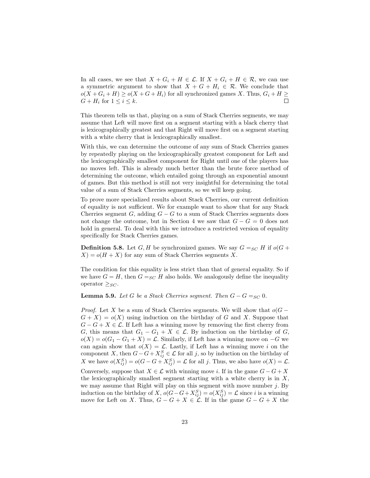In all cases, we see that  $X + G_i + H \in \mathcal{L}$ . If  $X + G_i + H \in \mathcal{R}$ , we can use a symmetric argument to show that  $X + G + H_i \in \mathcal{R}$ . We conclude that  $o(X+G_i+H) \geq o(X+G+H_i)$  for all synchronized games X. Thus,  $G_i+H \geq$  $G + H_i$  for  $1 \leq i \leq k$ .  $\Box$ 

This theorem tells us that, playing on a sum of Stack Cherries segments, we may assume that Left will move first on a segment starting with a black cherry that is lexicographically greatest and that Right will move first on a segment starting with a white cherry that is lexicographically smallest.

With this, we can determine the outcome of any sum of Stack Cherries games by repeatedly playing on the lexicographically greatest component for Left and the lexicographically smallest component for Right until one of the players has no moves left. This is already much better than the brute force method of determining the outcome, which entailed going through an exponential amount of games. But this method is still not very insightful for determining the total value of a sum of Stack Cherries segments, so we will keep going.

To prove more specialized results about Stack Cherries, our current definition of equality is not sufficient. We for example want to show that for any Stack Cherries segment  $G$ , adding  $G - G$  to a sum of Stack Cherries segments does not change the outcome, but in Section [4](#page-10-0) we saw that  $G - G = 0$  does not hold in general. To deal with this we introduce a restricted version of equality specifically for Stack Cherries games.

**Definition 5.8.** Let G, H be synchronized games. We say  $G =_{SC} H$  if  $o(G +$  $X$ ) =  $o(H + X)$  for any sum of Stack Cherries segments X.

The condition for this equality is less strict than that of general equality. So if we have  $G = H$ , then  $G =_{SC} H$  also holds. We analogously define the inequality operator  $\geq_{SC}$ .

<span id="page-24-0"></span>**Lemma 5.9.** Let G be a Stack Cherries segment. Then  $G - G =_{SC} 0$ .

*Proof.* Let X be a sum of Stack Cherries segments. We will show that  $o(G G + X = o(X)$  using induction on the birthday of G and X. Suppose that  $G - G + X \in \mathcal{L}$ . If Left has a winning move by removing the first cherry from G, this means that  $G_1 - G_1 + X \in \mathcal{L}$ . By induction on the birthday of G,  $o(X) = o(G_1 - G_1 + X) = \mathcal{L}$ . Similarly, if Left has a winning move on  $-G$  we can again show that  $o(X) = \mathcal{L}$ . Lastly, if Left has a winning move i on the component X, then  $G - G + X_{ij}^S \in \mathcal{L}$  for all j, so by induction on the birthday of X we have  $o(X_{ij}^S) = o(G - G + X_{ij}^S) = \mathcal{L}$  for all j. Thus, we also have  $o(X) = \mathcal{L}$ . Conversely, suppose that  $X \in \mathcal{L}$  with winning move *i*. If in the game  $G - G + X$ the lexicographically smallest segment starting with a white cherry is in  $X$ , we may assume that Right will play on this segment with move number  $j$ . By induction on the birthday of X,  $o(G-G+X_{ij}^S) = o(X_{ij}^S) = \mathcal{L}$  since i is a winning move for Left on X. Thus,  $G - G + X \in \mathcal{L}$ . If in the game  $G - G + X$  the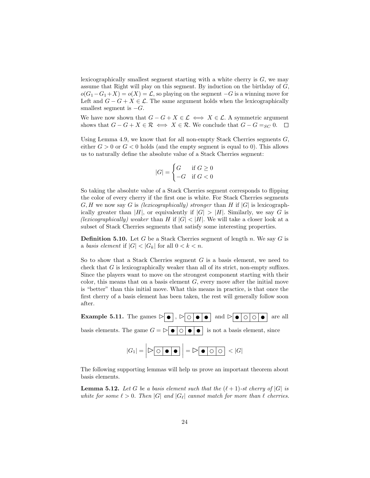lexicographically smallest segment starting with a white cherry is  $G$ , we may assume that Right will play on this segment. By induction on the birthday of  $G$ ,  $o(G_1-G_1+X) = o(X) = \mathcal{L}$ , so playing on the segment  $-G$  is a winning move for Left and  $G - G + X \in \mathcal{L}$ . The same argument holds when the lexicographically smallest segment is  $-G$ .

We have now shown that  $G - G + X \in \mathcal{L} \iff X \in \mathcal{L}$ . A symmetric argument shows that  $G - G + X \in \mathcal{R} \iff X \in \mathcal{R}$ . We conclude that  $G - G =_{SC} 0$ .  $\Box$ 

Using Lemma [4.9,](#page-13-1) we know that for all non-empty Stack Cherries segments  $G$ , either  $G > 0$  or  $G < 0$  holds (and the empty segment is equal to 0). This allows us to naturally define the absolute value of a Stack Cherries segment:

$$
|G| = \begin{cases} G & \text{if } G \ge 0 \\ -G & \text{if } G < 0 \end{cases}
$$

So taking the absolute value of a Stack Cherries segment corresponds to flipping the color of every cherry if the first one is white. For Stack Cherries segments  $G, H$  we now say G is *(lexicographically)* stronger than H if  $|G|$  is lexicographically greater than |H|, or equivalently if  $|G| > |H|$ . Similarly, we say G is (lexicographically) weaker than H if  $|G| < |H|$ . We will take a closer look at a subset of Stack Cherries segments that satisfy some interesting properties.

**Definition 5.10.** Let G be a Stack Cherries segment of length n. We say G is a basis element if  $|G| < |G_k|$  for all  $0 < k < n$ .

So to show that a Stack Cherries segment  $G$  is a basis element, we need to check that G is lexicographically weaker than all of its strict, non-empty suffixes. Since the players want to move on the strongest component starting with their color, this means that on a basis element  $G$ , every move after the initial move is "better" than this initial move. What this means in practice, is that once the first cherry of a basis element has been taken, the rest will generally follow soon after.

**Example 5.11.** The games  $\rhd$   $\bullet$ ,  $\rhd$   $\circ$   $\bullet$   $\bullet$  and  $\rhd$   $\bullet$   $\circ$   $\circ$   $\bullet$  are all basis elements. The game  $G = \triangleright \bullet \circ \bullet \bullet \bullet$  is not a basis element, since

$$
|G_1| = |\triangleright \textcircled{\bullet} \bullet \bullet| = |\triangleright \textcircled{\bullet}| \circ \textcircled{\circ}| < |G|
$$

The following supporting lemmas will help us prove an important theorem about basis elements.

<span id="page-25-0"></span>**Lemma 5.12.** Let G be a basis element such that the  $(\ell + 1)$ -st cherry of  $|G|$  is white for some  $\ell > 0$ . Then |G| and |G<sub> $\ell$ </sub>| cannot match for more than  $\ell$  cherries.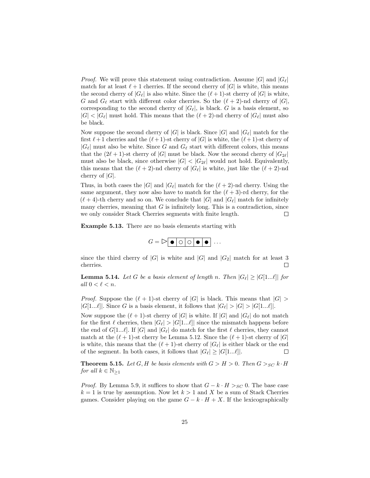*Proof.* We will prove this statement using contradiction. Assume  $|G|$  and  $|G_\ell|$ match for at least  $\ell + 1$  cherries. If the second cherry of  $|G|$  is white, this means the second cherry of  $|G_\ell|$  is also white. Since the  $(\ell + 1)$ -st cherry of  $|G|$  is white, G and  $G_\ell$  start with different color cherries. So the  $(\ell + 2)$ -nd cherry of  $|G|$ , corresponding to the second cherry of  $|G_{\ell}|$ , is black. G is a basis element, so  $|G| < |G_\ell|$  must hold. This means that the  $(\ell + 2)$ -nd cherry of  $|G_\ell|$  must also be black.

Now suppose the second cherry of  $|G|$  is black. Since  $|G|$  and  $|G_{\ell}|$  match for the first  $\ell + 1$  cherries and the  $(\ell + 1)$ -st cherry of  $|G|$  is white, the  $(\ell + 1)$ -st cherry of  $|G_\ell|$  must also be white. Since G and  $G_\ell$  start with different colors, this means that the  $(2\ell + 1)$ -st cherry of  $|G|$  must be black. Now the second cherry of  $|G_{2\ell}|$ must also be black, since otherwise  $|G| < |G_{2\ell}|$  would not hold. Equivalently, this means that the  $(\ell + 2)$ -nd cherry of  $|G_{\ell}|$  is white, just like the  $(\ell + 2)$ -nd cherry of  $|G|$ .

Thus, in both cases the  $|G|$  and  $|G_\ell|$  match for the  $(\ell + 2)$ -nd cherry. Using the same argument, they now also have to match for the  $(\ell + 3)$ -rd cherry, for the  $(\ell + 4)$ -th cherry and so on. We conclude that |G| and  $|G_\ell|$  match for infinitely many cherries, meaning that  $G$  is infinitely long. This is a contradiction, since we only consider Stack Cherries segments with finite length.  $\Box$ 

Example 5.13. There are no basis elements starting with

$$
G = \triangleright \boxed{\bullet \bigcirc \bigcirc \bigcirc \bullet \bigcirc \cdots}
$$

since the third cherry of  $|G|$  is white and  $|G|$  and  $|G_2|$  match for at least 3 cherries.  $\Box$ 

<span id="page-26-0"></span>**Lemma 5.14.** Let G be a basis element of length n. Then  $|G_\ell| \geq |G[1...l]|$  for all  $0 < \ell < n$ .

*Proof.* Suppose the  $(\ell + 1)$ -st cherry of  $|G|$  is black. This means that  $|G|$  $|G[1...\ell]|$ . Since G is a basis element, it follows that  $|G_\ell| > |G| > |G[1...\ell]|$ .

Now suppose the  $(\ell + 1)$ -st cherry of  $|G|$  is white. If  $|G|$  and  $|G_{\ell}|$  do not match for the first  $\ell$  cherries, then  $|G_{\ell}| > |G[1...\ell]|$  since the mismatch happens before the end of  $G[1...l]$ . If  $|G|$  and  $|G_{\ell}|$  do match for the first  $\ell$  cherries, they cannot match at the  $(\ell + 1)$ -st cherry be Lemma [5.12.](#page-25-0) Since the  $(\ell + 1)$ -st cherry of  $|G|$ is white, this means that the  $(\ell + 1)$ -st cherry of  $|G_{\ell}|$  is either black or the end of the segment. In both cases, it follows that  $|G_{\ell}| \geq |G[1...\ell]|$ .  $\Box$ 

<span id="page-26-1"></span>**Theorem 5.15.** Let G, H be basis elements with  $G > H > 0$ . Then  $G >_{SC} k \cdot H$ for all  $k \in \mathbb{N}_{\geq 1}$ 

*Proof.* By Lemma [5.9,](#page-24-0) it suffices to show that  $G - k \cdot H >_{SC} 0$ . The base case  $k = 1$  is true by assumption. Now let  $k > 1$  and X be a sum of Stack Cherries games. Consider playing on the game  $G - k \cdot H + X$ . If the lexicographically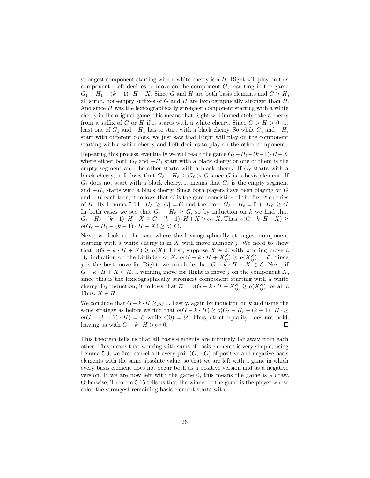strongest component starting with a white cherry is a  $H$ , Right will play on this component. Left decides to move on the component  $G$ , resulting in the game  $G_1 - H_1 - (k-1) \cdot H + X$ . Since G and H are both basis elements and  $G > H$ , all strict, non-empty suffixes of  $G$  and  $H$  are lexicographically stronger than  $H$ . And since  $H$  was the lexicographically strongest component starting with a white cherry in the original game, this means that Right will immediately take a cherry from a suffix of G or H if it starts with a white cherry. Since  $G > H > 0$ , at least one of  $G_1$  and  $-H_1$  has to start with a black cherry. So while  $G_i$  and  $-H_i$ start with different colors, we just saw that Right will play on the component starting with a white cherry and Left decides to play on the other component.

Repeating this process, eventually we will reach the game  $G_\ell-H_\ell-(k-1)\cdot H +X$ where either both  $G_\ell$  and  $-H_\ell$  start with a black cherry or one of them is the empty segment and the other starts with a black cherry. If  $G_\ell$  starts with a black cherry, it follows that  $G_\ell - H_\ell \geq G_\ell > G$  since G is a basis element. If  $G_{\ell}$  does not start with a black cherry, it means that  $G_{\ell}$  is the empty segment and  $-H_{\ell}$  starts with a black cherry. Since both players have been playing on G and  $-H$  each turn, it follows that G is the game consisting of the first  $\ell$  cherries of H. By Lemma [5.14,](#page-26-0)  $|H_{\ell}| \geq |G| = G$  and therefore  $G_{\ell} - H_{\ell} = 0 + |H_{\ell}| \geq G$ . In both cases we see that  $G_{\ell} - H_{\ell} \geq G$ , so by induction on k we find that  $G_{\ell} - H_{\ell} - (k-1) \cdot H + X \ge G - (k-1) \cdot H + X >_{SC} X$ . Thus,  $o(G-k \cdot H + X) \ge$  $o(G_{\ell} - H_{\ell} - (k - 1) \cdot H + X) \ge o(X).$ 

Next, we look at the case where the lexicographically strongest component starting with a white cherry is in  $X$  with move number j. We need to show that  $o(G - k \cdot H + X) \ge o(X)$ . First, suppose  $X \in \mathcal{L}$  with winning move i. By induction on the birthday of X,  $o(G - k \cdot H + X_{ij}^S) \ge o(X_{ij}^S) = \mathcal{L}$ . Since j is the best move for Right, we conclude that  $G - k \cdot H + X \in \mathcal{L}$ . Next, if  $G - k \cdot H + X \in \mathcal{R}$ , a winning move for Right is move j on the component X, since this is the lexicographically strongest component starting with a white cherry. By induction, it follows that  $\mathcal{R} = o(G - k \cdot H + X_{ij}^S) \ge o(X_{ij}^S)$  for all *i*. Thus,  $X \in \mathcal{R}$ .

We conclude that  $G - k \cdot H \geq_{SC} 0$ . Lastly, again by induction on k and using the same strategy as before we find that  $o(G - k \cdot H) \ge o(G_{\ell} - H_{\ell} - (k - 1) \cdot H) \ge$  $o(G - (k-1) \cdot H) = \mathcal{L}$  while  $o(0) = \mathcal{U}$ . Thus, strict equality does not hold, leaving us with  $G - k \cdot H >_{SC} 0$ .  $\Box$ 

This theorem tells us that all basis elements are infinitely far away from each other. This means that working with sums of basis elements is very simple; using Lemma [5.9,](#page-24-0) we first cancel out every pair  $(G, -G)$  of positive and negative basis elements with the same absolute value, so that we are left with a game in which every basis element does not occur both as a positive version and as a negative version. If we are now left with the game 0, this means the game is a draw. Otherwise, Theorem [5.15](#page-26-1) tells us that the winner of the game is the player whose color the strongest remaining basis element starts with.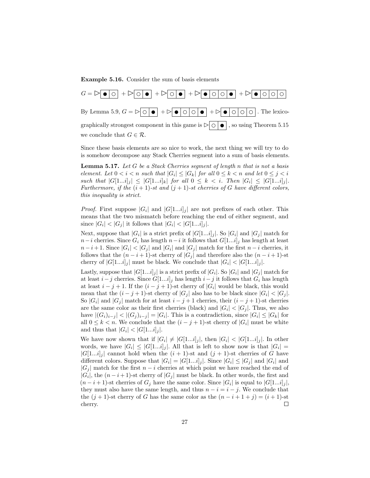Example 5.16. Consider the sum of basis elements



Since these basis elements are so nice to work, the next thing we will try to do is somehow decompose any Stack Cherries segment into a sum of basis elements.

<span id="page-28-0"></span>**Lemma 5.17.** Let  $G$  be a Stack Cherries segment of length  $n$  that is not a basis element. Let  $0 < i < n$  such that  $|G_i| \leq |G_k|$  for all  $0 \leq k < n$  and let  $0 \leq j < i$ such that  $|G[1...i]_j| \leq |G[1...i]_k|$  for all  $0 \leq k \leq i$ . Then  $|G_i| \leq |G[1...i]_j|$ . Furthermore, if the  $(i + 1)$ -st and  $(j + 1)$ -st cherries of G have different colors, this inequality is strict.

*Proof.* First suppose  $|G_i|$  and  $|G[1...i]_j|$  are not prefixes of each other. This means that the two mismatch before reaching the end of either segment, and since  $|G_i| < |G_j|$  it follows that  $|G_i| < |G[1...i]_j|$ .

Next, suppose that  $|G_i|$  is a strict prefix of  $|G[1...i]_j|$ . So  $|G_i|$  and  $|G_j|$  match for  $n-i$  cherries. Since  $G_i$  has length  $n-i$  it follows that  $G[1...i]_j$  has length at least  $n-i+1$ . Since  $|G_i| < |G_j|$  and  $|G_i|$  and  $|G_j|$  match for the first  $n-i$  cherries, it follows that the  $(n-i+1)$ -st cherry of  $|G_j|$  and therefore also the  $(n-i+1)$ -st cherry of  $|G[1...i]_j|$  must be black. We conclude that  $|G_i| < |G[1...i]_j|$ .

Lastly, suppose that  $|G[1...i]_j|$  is a strict prefix of  $|G_i|$ . So  $|G_i|$  and  $|G_j|$  match for at least  $i-j$  cherries. Since  $G[1...i]_j$  has length  $i-j$  it follows that  $G_i$  has length at least  $i - j + 1$ . If the  $(i - j + 1)$ -st cherry of  $|G_i|$  would be black, this would mean that the  $(i - j + 1)$ -st cherry of  $|G_j|$  also has to be black since  $|G_i| < |G_j|$ . So  $|G_i|$  and  $|G_j|$  match for at least  $i - j + 1$  cherries, their  $(i - j + 1)$ -st cherries are the same color as their first cherries (black) and  $|G_i| < |G_j|$ . Thus, we also have  $|(G_i)_{i-j}| < |(G_j)_{i-j}| = |G_i|$ . This is a contradiction, since  $|G_i| \leq |G_k|$  for all  $0 \leq k < n$ . We conclude that the  $(i - j + 1)$ -st cherry of  $|G_i|$  must be white and thus that  $|G_i| < |G[1...i]_j|$ .

We have now shown that if  $|G_i| \neq |G[1...i]_j|$ , then  $|G_i| < |G[1...i]_j|$ . In other words, we have  $|G_i| \leq |G[1...i]_j|$ . All that is left to show now is that  $|G_i|$  =  $|G[1...i]_j|$  cannot hold when the  $(i + 1)$ -st and  $(j + 1)$ -st cherries of G have different colors. Suppose that  $|G_i| = |G[1...i]_j|$ . Since  $|G_i| \leq |G_j|$  and  $|G_i|$  and  $|G_i|$  match for the first  $n - i$  cherries at which point we have reached the end of  $|G_i|$ , the  $(n-i+1)$ -st cherry of  $|G_j|$  must be black. In other words, the first and  $(n-i+1)$ -st cherries of  $G_j$  have the same color. Since  $|G_i|$  is equal to  $|G[1...i]_j|$ , they must also have the same length, and thus  $n - i = i - j$ . We conclude that the  $(j + 1)$ -st cherry of G has the same color as the  $(n - i + 1 + j) = (i + 1)$ -st cherry.  $\Box$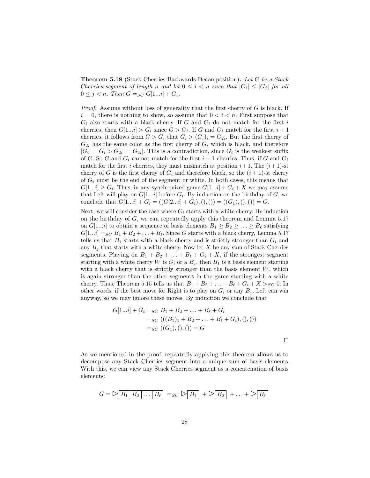<span id="page-29-0"></span>Theorem 5.18 (Stack Cherries Backwards Decomposition). Let G be a Stack Cherries segment of length n and let  $0 \leq i < n$  such that  $|G_i| \leq |G_j|$  for all  $0 \leq j < n$ . Then  $G =_{SC} G[1...i] + G_i$ .

*Proof.* Assume without loss of generality that the first cherry of  $G$  is black. If  $i = 0$ , there is nothing to show, so assume that  $0 \le i \le n$ . First suppose that  $G_i$  also starts with a black cherry. If G and  $G_i$  do not match for the first i cherries, then  $G[1...i] > G_i$  since  $G > G_i$ . If G and  $G_i$  match for the first  $i+1$ cherries, it follows from  $G > G_i$  that  $G_i > (G_i)_i = G_{2i}$ . But the first cherry of  $G_{2i}$  has the same color as the first cherry of  $G_i$  which is black, and therefore  $|G_i| = G_i > G_{2i} = |G_{2i}|$ . This is a contradiction, since  $G_i$  is the weakest suffix of G. So G and  $G_i$  cannot match for the first  $i+1$  cherries. Thus, if G and  $G_i$ match for the first i cherries, they must mismatch at position  $i+1$ . The  $(i+1)$ -st cherry of G is the first cherry of  $G_i$  and therefore black, so the  $(i + 1)$ -st cherry of  $G_i$  must be the end of the segment or white. In both cases, this means that  $G[1...i] \ge G_i$ . Thus, in any synchronized game  $G[1...i] + G_i + X$  we may assume that Left will play on  $G[1...i]$  before  $G_i$ . By induction on the birthday of  $G$ , we conclude that  $G[1...i] + G_i = ((G[2...i] + G_i),(),()) = ((G_1),(),()) = G.$ 

Next, we will consider the case where  $G_i$  starts with a white cherry. By induction on the birthday of G, we can repeatedly apply this theorem and Lemma [5.17](#page-28-0) on G[1...*i*] to obtain a sequence of basis elements  $B_1 \ge B_2 \ge \ldots \ge B_\ell$  satisfying  $G[1...i] =_{SC} B_1 + B_2 + \ldots + B_\ell$ . Since G starts with a black cherry, Lemma [5.17](#page-28-0) tells us that  $B_1$  starts with a black cherry and is strictly stronger than  $G_i$  and any  $B_j$  that starts with a white cherry. Now let X be any sum of Stack Cherries segments. Playing on  $B_1 + B_2 + \ldots + B_\ell + G_i + X$ , if the strongest segment starting with a white cherry W is  $G_i$  or a  $B_j$ , then  $B_1$  is a basis element starting with a black cherry that is strictly stronger than the basis element  $W$ , which is again stronger than the other segments in the game starting with a white cherry. Thus, Theorem [5.15](#page-26-1) tells us that  $B_1 + B_2 + \ldots + B_\ell + G_i + X >_{SC} 0$ . In other words, if the best move for Right is to play on  $G_i$  or any  $B_j$ , Left can win anyway, so we may ignore these moves. By induction we conclude that

$$
G[1...i] + G_i =_{SC} B_1 + B_2 + \dots + B_\ell + G_i
$$
  
=\_{SC} (( (B<sub>1</sub>)<sub>1</sub> + B<sub>2</sub> + \dots + B\_\ell + G\_i), (), ))  
=\_{SC} ((G<sub>1</sub>), (),()) = G

 $\Box$ 

As we mentioned in the proof, repeatedly applying this theorem allows us to decompose any Stack Cherries segment into a unique sum of basis elements. With this, we can view any Stack Cherries segment as a concatenation of basis elements:

$$
G = \triangleright \boxed{B_1 \mid B_2 \mid \dots \mid B_\ell} =_{SC} \triangleright \boxed{B_1} + \triangleright \boxed{B_2} + \dots + \triangleright \boxed{B_\ell}
$$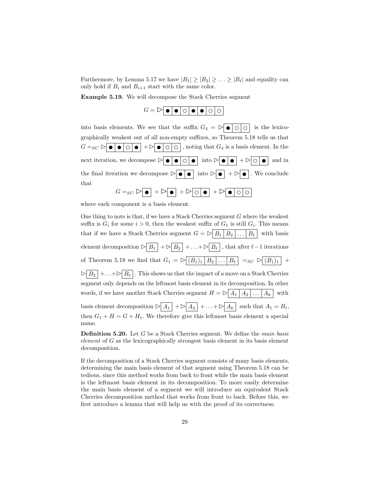Furthermore, by Lemma [5.17](#page-28-0) we have  $|B_1| \geq |B_2| \geq \ldots \geq |B_\ell|$  and equality can only hold if  $B_i$  and  $B_{i+1}$  start with the same color.

Example 5.19. We will decompose the Stack Cherries segment

| $G = \triangleright \bullet \bullet \circ \circ \bullet \bullet \circ \circ$ |  |  |  |  |
|------------------------------------------------------------------------------|--|--|--|--|
|                                                                              |  |  |  |  |

into basis elements. We see that the suffix  $G_4 = \triangleright \bullet \circ \circ$  is the lexicographically weakest out of all non-empty suffixes, so Theorem [5.18](#page-29-0) tells us that  $G =_{SC} \triangleright \bullet \bullet \bullet \circ \bullet + \triangleright \bullet \circ \circ$ , noting that  $G_4$  is a basis element. In the next iteration, we decompose  $\triangleright \bullet \bullet \circ \bullet$  into  $\triangleright \bullet \bullet + \triangleright \circ \bullet$  and in the final iteration we decompose  $\triangleright \bullet \bullet$  into  $\triangleright \bullet$  +  $\triangleright \bullet$ . We conclude that  $G =_{SC} \triangleright \boxed{\bullet} + \triangleright \boxed{\bullet} + \triangleright \boxed{\circ} + \square \boxed{\bullet} + \triangleright \boxed{\bullet} \boxed{\circ} \boxed{\circ}$ 

where each component is a basis element.

One thing to note is that, if we have a Stack Cherries segment G where the weakest suffix is  $G_i$  for some  $i > 0$ , then the weakest suffix of  $G_1$  is still  $G_i$ . This means that if we have a Stack Cherries segment  $G = \triangleright \boxed{B_1 \mid B_2 \mid \ldots \mid B_\ell}$  with basis element decomposition  $\triangleright \boxed{B_1}$  +  $\triangleright \boxed{B_2}$  +... +  $\triangleright \boxed{B_\ell}$ , that after  $\ell-1$  iterations of Theorem [5.18](#page-29-0) we find that  $G_1 = \triangleright \boxed{(B_1)_1 \mid B_2 \mid \ldots \mid B_\ell} =_{SC} \triangleright \boxed{(B_1)_1}$  +  $\triangleright$   $\boxed{B_2}$  +... + $\triangleright$   $\boxed{B_\ell}$ . This shows us that the impact of a move on a Stack Cherries segment only depends on the leftmost basis element in its decomposition. In other words, if we have another Stack Cherries segment  $H = \sum_{n=1}^{\infty} \frac{A_1}{A_2 \ldots A_k}$  with basis element decomposition  $\triangleright \boxed{A_1} + \triangleright \boxed{A_2} + \ldots + \triangleright \boxed{A_k}$  such that  $A_1 = B_1$ , then  $G_1 + H = G + H_1$ . We therefore give this leftmost basis element a special name.

**Definition 5.20.** Let G be a Stack Cherries segment. We define the *main basis* element of G as the lexicographically strongest basis element in its basis element decomposition.

If the decomposition of a Stack Cherries segment consists of many basis elements, determining the main basis element of that segment using Theorem [5.18](#page-29-0) can be tedious, since this method works from back to front while the main basis element is the leftmost basis element in its decomposition. To more easily determine the main basis element of a segment we will introduce an equivalent Stack Cherries decomposition method that works from front to back. Before this, we first introduce a lemma that will help us with the proof of its correctness.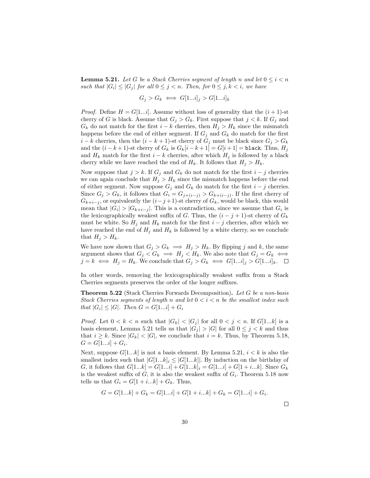<span id="page-31-0"></span>**Lemma 5.21.** Let G be a Stack Cherries segment of length n and let  $0 \leq i < n$ such that  $|G_i| \leq |G_j|$  for all  $0 \leq j < n$ . Then, for  $0 \leq j, k < i$ , we have

$$
G_j > G_k \iff G[1...i]_j > G[1...i]_k
$$

*Proof.* Define  $H = G[1...i]$ . Assume without loss of generality that the  $(i + 1)$ -st cherry of G is black. Assume that  $G_j > G_k$ . First suppose that  $j < k$ . If  $G_j$  and  $G_k$  do not match for the first  $i - k$  cherries, then  $H_i > H_k$  since the mismatch happens before the end of either segment. If  $G_j$  and  $G_k$  do match for the first  $i - k$  cherries, then the  $(i - k + 1)$ -st cherry of  $G_i$  must be black since  $G_i > G_k$ and the  $(i - k + 1)$ -st cherry of  $G_k$  is  $G_k[i - k + 1] = G[i + 1] = \text{black}$ . Thus,  $H_j$ and  $H_k$  match for the first  $i - k$  cherries, after which  $H_j$  is followed by a black cherry while we have reached the end of  $H_k$ . It follows that  $H_j > H_k$ .

Now suppose that  $j > k$ . If  $G_j$  and  $G_k$  do not match for the first  $i - j$  cherries we can again conclude that  $H_i > H_k$  since the mismatch happens before the end of either segment. Now suppose  $G_i$  and  $G_k$  do match for the first  $i - j$  cherries. Since  $G_j > G_k$ , it follows that  $G_i = G_{j+(i-j)} > G_{k+(i-j)}$ . If the first cherry of  $G_{k+i-j}$ , or equivalently the  $(i-j+1)$ -st cherry of  $G_k$ , would be black, this would mean that  $|G_i| > |G_{k+i-j}|$ . This is a contradiction, since we assume that  $G_i$  is the lexicographically weakest suffix of G. Thus, the  $(i - j + 1)$ -st cherry of  $G_k$ must be white. So  $H_j$  and  $H_k$  match for the first  $i - j$  cherries, after which we have reached the end of  $H_j$  and  $H_k$  is followed by a white cherry, so we conclude that  $H_j > H_k$ .

We have now shown that  $G_j > G_k \implies H_j > H_k$ . By flipping j and k, the same argument shows that  $G_j < G_k \implies H_j < H_k$ . We also note that  $G_j = G_k \iff$  $j = k \iff H_j = H_k$ . We conclude that  $G_j > G_k \iff G[1...i]_j > G[1...i]_k$ .  $\Box$ 

In other words, removing the lexicographically weakest suffix from a Stack Cherries segments preserves the order of the longer suffixes.

Theorem 5.22 (Stack Cherries Forwards Decomposition). Let G be a non-basis Stack Cherries segments of length n and let  $0 < i < n$  be the smallest index such that  $|G_i| \leq |G|$ . Then  $G = G[1...i] + G_i$ 

*Proof.* Let  $0 < k < n$  such that  $|G_k| < |G_j|$  for all  $0 < j < n$ . If  $G[1...k]$  is a basis element, Lemma [5.21](#page-31-0) tells us that  $|G_j| > |G|$  for all  $0 \leq j < k$  and thus that  $i \geq k$ . Since  $|G_k| < |G|$ , we conclude that  $i = k$ . Thus, by Theorem [5.18,](#page-29-0)  $G = G[1...i] + G_i.$ 

Next, suppose  $G[1...k]$  is not a basis element. By Lemma [5.21,](#page-31-0)  $i < k$  is also the smallest index such that  $|G[1...k]_i \leq |G[1...k]$ . By induction on the birthday of G, it follows that  $G[1...k] = G[1...i] + G[1...k]_i = G[1...i] + G[1+i...k]$ . Since  $G_k$ is the weakest suffix of  $G$ , it is also the weakest suffix of  $G_i$ . Theorem [5.18](#page-29-0) now tells us that  $G_i = G[1 + i...k] + G_k$ . Thus,

$$
G = G[1...k] + G_k = G[1...i] + G[1 + i...k] + G_k = G[1...i] + G_i.
$$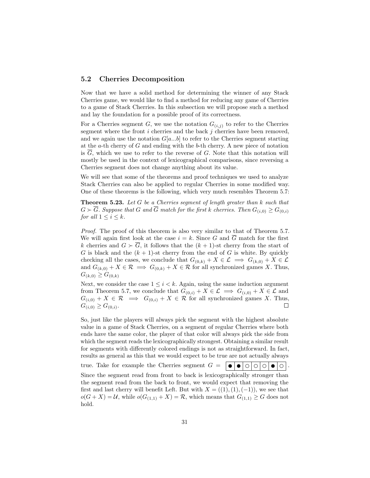### <span id="page-32-0"></span>5.2 Cherries Decomposition

Now that we have a solid method for determining the winner of any Stack Cherries game, we would like to find a method for reducing any game of Cherries to a game of Stack Cherries. In this subsection we will propose such a method and lay the foundation for a possible proof of its correctness.

For a Cherries segment G, we use the notation  $G_{(i,j)}$  to refer to the Cherries segment where the front  $i$  cherries and the back  $j$  cherries have been removed. and we again use the notation  $G[a...b]$  to refer to the Cherries segment starting at the  $a$ -th cherry of  $G$  and ending with the  $b$ -th cherry. A new piece of notation is  $\overline{G}$ , which we use to refer to the reverse of G. Note that this notation will mostly be used in the context of lexicographical comparisons, since reversing a Cherries segment does not change anything about its value.

We will see that some of the theorems and proof techniques we used to analyze Stack Cherries can also be applied to regular Cherries in some modified way. One of these theorems is the following, which very much resembles Theorem [5.7:](#page-23-0)

Theorem 5.23. Let G be a Cherries segment of length greater than k such that  $G \succ \overline{G}$ . Suppose that G and  $\overline{G}$  match for the first k cherries. Then  $G_{(i,0)} \geq G_{(0,i)}$ for all  $1 \leq i \leq k$ .

Proof. The proof of this theorem is also very similar to that of Theorem [5.7.](#page-23-0) We will again first look at the case  $i = k$ . Since G and  $\overline{G}$  match for the first k cherries and  $G \succ \overline{G}$ , it follows that the  $(k + 1)$ -st cherry from the start of G is black and the  $(k + 1)$ -st cherry from the end of G is white. By quickly checking all the cases, we conclude that  $G_{(0,k)} + X \in \mathcal{L} \implies G_{(k,0)} + X \in \mathcal{L}$ and  $G_{(k,0)} + X \in \mathcal{R} \implies G_{(0,k)} + X \in \mathcal{R}$  for all synchronized games X. Thus,  $G_{(k,0)} \geq G_{(0,k)}$ 

Next, we consider the case  $1 \leq i < k$ . Again, using the same induction argument from Theorem [5.7,](#page-23-0) we conclude that  $G_{(0,i)} + X \in \mathcal{L} \implies G_{(i,0)} + X \in \mathcal{L}$  and  $G_{(i,0)} + X \in \mathcal{R} \implies G_{(0,i)} + X \in \mathcal{R}$  for all synchronized games X. Thus,  $G_{(i,0)} \geq G_{(0,i)}.$  $\Box$ 

So, just like the players will always pick the segment with the highest absolute value in a game of Stack Cherries, on a segment of regular Cherries where both ends have the same color, the player of that color will always pick the side from which the segment reads the lexicographically strongest. Obtaining a similar result for segments with differently colored endings is not as straightforward. In fact, results as general as this that we would expect to be true are not actually always

true. Take for example the Cherries segment  $G = \bigcirc \bigcirc \bigcirc \bigcirc \bigcirc \bigcirc \bigcirc \bigcirc \bigcirc \bigcirc \bigcirc$ .

Since the segment read from front to back is lexicographically stronger than the segment read from the back to front, we would expect that removing the first and last cherry will benefit Left. But with  $X = ((1), (1), (-1))$ , we see that  $o(G+X) = U$ , while  $o(G_{(1,1)}+X) = \mathcal{R}$ , which means that  $G_{(1,1)} \geq G$  does not hold.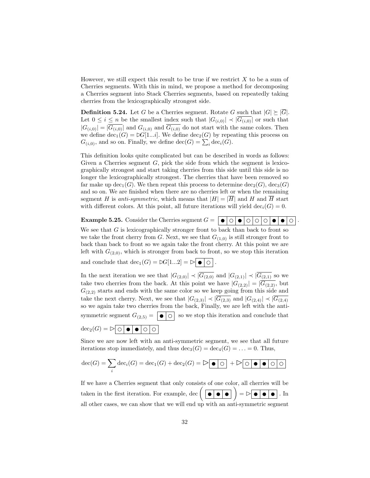However, we still expect this result to be true if we restrict  $X$  to be a sum of Cherries segments. With this in mind, we propose a method for decomposing a Cherries segment into Stack Cherries segments, based on repeatedly taking cherries from the lexicographically strongest side.

<span id="page-33-0"></span>**Definition 5.24.** Let G be a Cherries segment. Rotate G such that  $|G| \geq |\overline{G}|$ . Let  $0 \leq i \leq n$  be the smallest index such that  $|G(i,0)| \prec |\overline{G(i,0)}|$  or such that  $|G(i,0)| = |\overline{G(i,0)}|$  and  $G(i,0)$  and  $\overline{G(i,0)}$  do not start with the same colors. Then we define  $dec_1(G) = \mathfrak{D}G[1...i]$ . We define  $dec_2(G)$  by repeating this process on  $G_{(i,0)}$ , and so on. Finally, we define  $\text{dec}(G) = \sum_i \text{dec}_i(G)$ .

This definition looks quite complicated but can be described in words as follows: Given a Cherries segment  $G$ , pick the side from which the segment is lexicographically strongest and start taking cherries from this side until this side is no longer the lexicographically strongest. The cherries that have been removed so far make up dec<sub>1</sub>(G). We then repeat this process to determine  $dec_2(G)$ ,  $dec_3(G)$ and so on. We are finished when there are no cherries left or when the remaining segment H is anti-symmetric, which means that  $|H| = |\overline{H}|$  and H and  $\overline{H}$  start with different colors. At this point, all future iterations will yield  $dec_i(G) = 0$ .

**Example 5.25.** Consider the Cherries segment  $G = \Box$ 

We see that  $G$  is lexicographically stronger front to back than back to front so we take the front cherry from G. Next, we see that  $G_{(1,0)}$  is still stronger front to back than back to front so we again take the front cherry. At this point we are left with  $G_{(2,0)}$ , which is stronger from back to front, so we stop this iteration

and conclude that  $\text{dec}_1(G) = \mathcal{B}[1...2] = \mathcal{B} \cdot \mathcal{C}$ .

In the next iteration we see that  $|G_{(2,0)}| \prec |\overline{G_{(2,0)}}\rangle$  and  $|G_{(2,1)}| \prec |\overline{G_{(2,1)}}\rangle$  so we take two cherries from the back. At this point we have  $|G_{(2,2)}| = |G_{(2,2)}|$ , but  $G_{(2,2)}$  starts and ends with the same color so we keep going from this side and take the next cherry. Next, we see that  $|G_{(2,3)}| \prec |G_{(2,3)}|$  and  $|G_{(2,4)}| \prec |G_{(2,4)}|$ so we again take two cherries from the back, Finally, we are left with the antisymmetric segment  $G_{(2,5)} = \boxed{\bullet \circ}$  so we stop this iteration and conclude that  $dec_2(G) = \triangleright \circ \bullet \bullet \circ \circ$ 

Since we are now left with an anti-symmetric segment, we see that all future iterations stop immediately, and thus  $\text{dec}_3(G) = \text{dec}_4(G) = \ldots = 0$ . Thus,

$$
\text{dec}(G) = \sum_{i} \text{dec}_{i}(G) = \text{dec}_{1}(G) + \text{dec}_{2}(G) = \text{Re}(G) - \text{Re}(G) + \text{Im}(G) \cdot \text{Im}(G) \cdot \text{Im}(G)
$$

If we have a Cherries segment that only consists of one color, all cherries will be taken in the first iteration. For example, dec  $(\Box \bullet \bullet \bullet) = \triangleright \bullet \bullet \bullet \bullet$ . In all other cases, we can show that we will end up with an anti-symmetric segment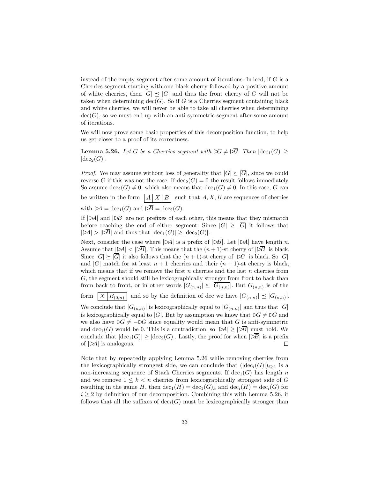instead of the empty segment after some amount of iterations. Indeed, if G is a Cherries segment starting with one black cherry followed by a positive amount of white cherries, then  $|G| \prec |\overline{G}|$  and thus the front cherry of G will not be taken when determining  $\text{dec}(G)$ . So if G is a Cherries segment containing black and white cherries, we will never be able to take all cherries when determining  $dec(G)$ , so we must end up with an anti-symmetric segment after some amount of iterations.

We will now prove some basic properties of this decomposition function, to help us get closer to a proof of its correctness.

<span id="page-34-0"></span>**Lemma 5.26.** Let G be a Cherries segment with  $\forall G \neq \forall \overline{G}$ . Then  $|\text{dec}_1(G)| \geq$  $|\text{dec}_2(G)|.$ 

*Proof.* We may assume without loss of generality that  $|G| \geq |\overline{G}|$ , since we could reverse G if this was not the case. If  $dec_2(G) = 0$  the result follows immediately. So assume  $\text{dec}_2(G) \neq 0$ , which also means that  $\text{dec}_1(G) \neq 0$ . In this case, G can be written in the form  $\left| A \right| X \left| B \right|$  such that  $A, X, B$  are sequences of cherries with  $\triangleright A = \text{dec}_1(G)$  and  $\triangleright \overline{B} = \text{dec}_2(G)$ .

If  $|\triangleright A|$  and  $|\triangleright B|$  are not prefixes of each other, this means that they mismatch before reaching the end of either segment. Since  $|G| \geq |\overline{G}|$  it follows that  $|\triangleright A| > |\triangleright \overline{B}|$  and thus that  $|\text{dec}_1(G)| \geq |\text{dec}_2(G)|$ .

Next, consider the case where  $|\triangleright A|$  is a prefix of  $|\triangleright \overline{B}|$ . Let  $|\triangleright A|$  have length n. Assume that  $|\triangleright A| < |\triangleright \overline{B}|$ . This means that the  $(n+1)$ -st cherry of  $|\triangleright \overline{B}|$  is black. Since  $|G| \geq |\overline{G}|$  it also follows that the  $(n + 1)$ -st cherry of  $|\mathcal{L}G|$  is black. So  $|G|$ and  $|\overline{G}|$  match for at least  $n + 1$  cherries and their  $(n + 1)$ -st cherry is black, which means that if we remove the first  $n$  cherries and the last  $n$  cherries from G, the segment should still be lexicographically stronger from front to back than from back to front, or in other words  $|G_{(n,n)}| \succeq |G_{(n,n)}|$ . But  $G_{(n,n)}$  is of the form  $|X|B_{(0,n)}|$  and so by the definition of dec we have  $|G_{(n,n)}| \preceq |G_{(n,n)}|$ . We conclude that  $|G_{(n,n)}|$  is lexicographically equal to  $|G_{(n,n)}|$  and thus that  $|G|$ is lexicographically equal to  $|\overline{G}|$ . But by assumption we know that  $\Delta G \neq \Delta \overline{G}$  and we also have  $\Delta G \neq -\overline{\Delta G}$  since equality would mean that G is anti-symmetric and  $\text{dec}_1(G)$  would be 0. This is a contradiction, so  $|\triangleright A| > |\overline{B}|$  must hold. We conclude that  $|\text{dec}_1(G)| \geq |\text{dec}_2(G)|$ . Lastly, the proof for when  $|\triangleright \overline{B}|$  is a prefix of  $|\mathcal{A}|$  is analogous.  $\Box$ 

Note that by repeatedly applying Lemma [5.26](#page-34-0) while removing cherries from the lexicographically strongest side, we can conclude that  $(|\text{dec}_i(G)|)_{i>1}$  is a non-increasing sequence of Stack Cherries segments. If  $dec_1(G)$  has length n and we remove  $1 \leq k < n$  cherries from lexicographically strongest side of G resulting in the game H, then  $\text{dec}_1(H) = \text{dec}_1(G)_k$  and  $\text{dec}_i(H) = \text{dec}_i(G)$  for  $i \geq 2$  by definition of our decomposition. Combining this with Lemma [5.26,](#page-34-0) it follows that all the suffixes of  $dec_i(G)$  must be lexicographically stronger than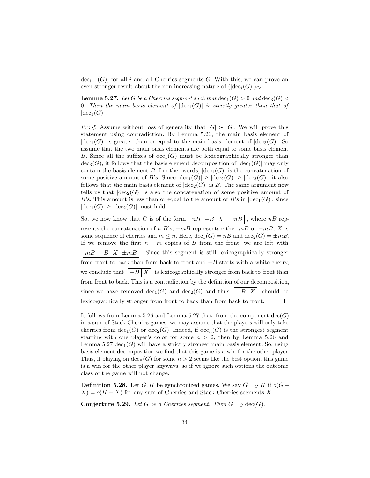$dec_{i+1}(G)$ , for all i and all Cherries segments G. With this, we can prove an even stronger result about the non-increasing nature of  $(|\text{dec}_i(G)|)_{i\geq 1}$ 

<span id="page-35-0"></span>**Lemma 5.27.** Let G be a Cherries segment such that  $\text{dec}_1(G) > 0$  and  $\text{dec}_3(G)$ 0. Then the main basis element of  $|\text{dec}_1(G)|$  is strictly greater than that of  $|\text{dec}_3(G)|.$ 

*Proof.* Assume without loss of generality that  $|G| \geq |\overline{G}|$ . We will prove this statement using contradiction. By Lemma [5.26,](#page-34-0) the main basis element of  $|\text{dec}_1(G)|$  is greater than or equal to the main basis element of  $|\text{dec}_3(G)|$ . So assume that the two main basis elements are both equal to some basis element B. Since all the suffixes of  $dec_1(G)$  must be lexicographically stronger than  $\text{dec}_3(G)$ , it follows that the basis element decomposition of  $|\text{dec}_1(G)|$  may only contain the basis element B. In other words,  $|dec_1(G)|$  is the concatenation of some positive amount of B's. Since  $|\text{dec}_1(G)| \geq |\text{dec}_2(G)| \geq |\text{dec}_3(G)|$ , it also follows that the main basis element of  $|dec_2(G)|$  is B. The same argument now tells us that  $|dec_2(G)|$  is also the concatenation of some positive amount of B's. This amount is less than or equal to the amount of B's in  $|dec_1(G)|$ , since  $|\text{dec}_1(G)| \geq |\text{dec}_2(G)|$  must hold.

So, we now know that G is of the form  $nB \mid -B \mid X \mid \pm mB$ , where nB represents the concatenation of n B's,  $\pm mB$  represents either mB or  $-mB$ , X is some sequence of cherries and  $m \leq n$ . Here,  $\text{dec}_1(G) = nB$  and  $\text{dec}_2(G) = \pm mB$ . If we remove the first  $n - m$  copies of B from the front, we are left with  $|mB|-B|X|\overline{\pm mB}|$ . Since this segment is still lexicographically stronger from front to back than from back to front and  $-B$  starts with a white cherry, we conclude that  $\left|-B\right|X$  is lexicographically stronger from back to front than from front to back. This is a contradiction by the definition of our decomposition, since we have removed  $\text{dec}_1(G)$  and  $\text{dec}_2(G)$  and thus  $|-B|X|$  should be lexicographically stronger from front to back than from back to front.  $\Box$ 

It follows from Lemma [5.26](#page-34-0) and Lemma [5.27](#page-35-0) that, from the component  $dec(G)$ in a sum of Stack Cherries games, we may assume that the players will only take cherries from  $\text{dec}_1(G)$  or  $\text{dec}_2(G)$ . Indeed, if  $\text{dec}_n(G)$  is the strongest segment starting with one player's color for some  $n > 2$ , then by Lemma [5.26](#page-34-0) and Lemma [5.27](#page-35-0) dec<sub>1</sub>(G) will have a strictly stronger main basis element. So, using basis element decomposition we find that this game is a win for the other player. Thus, if playing on  $\text{dec}_n(G)$  for some  $n > 2$  seems like the best option, this game is a win for the other player anyways, so if we ignore such options the outcome class of the game will not change.

**Definition 5.28.** Let G, H be synchronized games. We say  $G =_C H$  if  $o(G +$  $X$ ) =  $o(H+X)$  for any sum of Cherries and Stack Cherries segments X.

<span id="page-35-1"></span>**Conjecture 5.29.** Let G be a Cherries segment. Then  $G =_C \text{dec}(G)$ .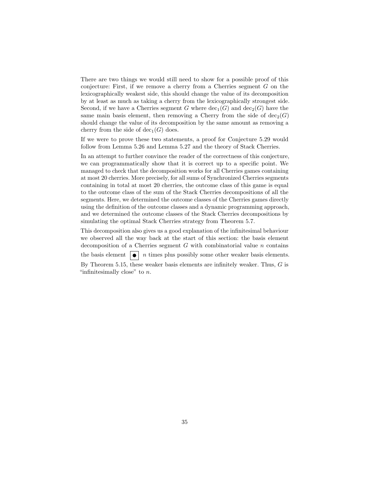There are two things we would still need to show for a possible proof of this conjecture: First, if we remove a cherry from a Cherries segment  $G$  on the lexicographically weakest side, this should change the value of its decomposition by at least as much as taking a cherry from the lexicographically strongest side. Second, if we have a Cherries segment G where  $\text{dec}_1(G)$  and  $\text{dec}_2(G)$  have the same main basis element, then removing a Cherry from the side of  $dec_2(G)$ should change the value of its decomposition by the same amount as removing a cherry from the side of  $dec_1(G)$  does.

If we were to prove these two statements, a proof for Conjecture [5.29](#page-35-1) would follow from Lemma [5.26](#page-34-0) and Lemma [5.27](#page-35-0) and the theory of Stack Cherries.

In an attempt to further convince the reader of the correctness of this conjecture, we can programmatically show that it is correct up to a specific point. We managed to check that the decomposition works for all Cherries games containing at most 20 cherries. More precisely, for all sums of Synchronized Cherries segments containing in total at most 20 cherries, the outcome class of this game is equal to the outcome class of the sum of the Stack Cherries decompositions of all the segments. Here, we determined the outcome classes of the Cherries games directly using the definition of the outcome classes and a dynamic programming approach, and we determined the outcome classes of the Stack Cherries decompositions by simulating the optimal Stack Cherries strategy from Theorem [5.7.](#page-23-0)

This decomposition also gives us a good explanation of the infinitesimal behaviour we observed all the way back at the start of this section: the basis element decomposition of a Cherries segment  $G$  with combinatorial value  $n$  contains the basis element  $\bullet$   $\bullet$   $\circ$   $\bullet$   $\circ$   $\bullet$  times plus possibly some other weaker basis elements.

By Theorem [5.15,](#page-26-1) these weaker basis elements are infinitely weaker. Thus,  $G$  is "infinitesimally close" to  $n$ .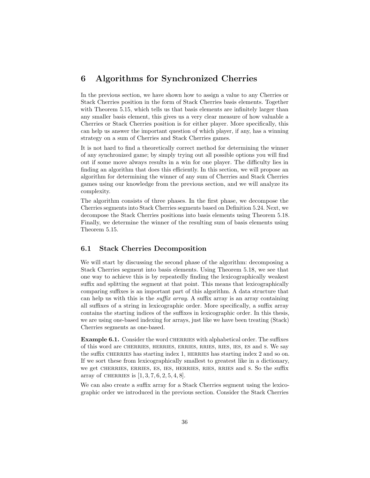# <span id="page-37-0"></span>6 Algorithms for Synchronized Cherries

In the previous section, we have shown how to assign a value to any Cherries or Stack Cherries position in the form of Stack Cherries basis elements. Together with Theorem [5.15,](#page-26-1) which tells us that basis elements are infinitely larger than any smaller basis element, this gives us a very clear measure of how valuable a Cherries or Stack Cherries position is for either player. More specifically, this can help us answer the important question of which player, if any, has a winning strategy on a sum of Cherries and Stack Cherries games.

It is not hard to find a theoretically correct method for determining the winner of any synchronized game; by simply trying out all possible options you will find out if some move always results in a win for one player. The difficulty lies in finding an algorithm that does this efficiently. In this section, we will propose an algorithm for determining the winner of any sum of Cherries and Stack Cherries games using our knowledge from the previous section, and we will analyze its complexity.

The algorithm consists of three phases. In the first phase, we decompose the Cherries segments into Stack Cherries segments based on Definition [5.24.](#page-33-0) Next, we decompose the Stack Cherries positions into basis elements using Theorem [5.18.](#page-29-0) Finally, we determine the winner of the resulting sum of basis elements using Theorem [5.15.](#page-26-1)

### <span id="page-37-1"></span>6.1 Stack Cherries Decomposition

We will start by discussing the second phase of the algorithm: decomposing a Stack Cherries segment into basis elements. Using Theorem [5.18,](#page-29-0) we see that one way to achieve this is by repeatedly finding the lexicographically weakest suffix and splitting the segment at that point. This means that lexicographically comparing suffixes is an important part of this algorithm. A data structure that can help us with this is the suffix array. A suffix array is an array containing all suffixes of a string in lexicographic order. More specifically, a suffix array contains the starting indices of the suffixes in lexicographic order. In this thesis, we are using one-based indexing for arrays, just like we have been treating (Stack) Cherries segments as one-based.

Example 6.1. Consider the word CHERRIES with alphabetical order. The suffixes of this word are cherries, herries, erries, rries, ries, ies, es and s. We say the suffix CHERRIES has starting index 1, HERRIES has starting index 2 and so on. If we sort these from lexicographically smallest to greatest like in a dictionary, we get cherries, erries, es, ies, herries, ries, rries and s. So the suffix array of CHERRIES is  $[1, 3, 7, 6, 2, 5, 4, 8]$ .

We can also create a suffix array for a Stack Cherries segment using the lexicographic order we introduced in the previous section. Consider the Stack Cherries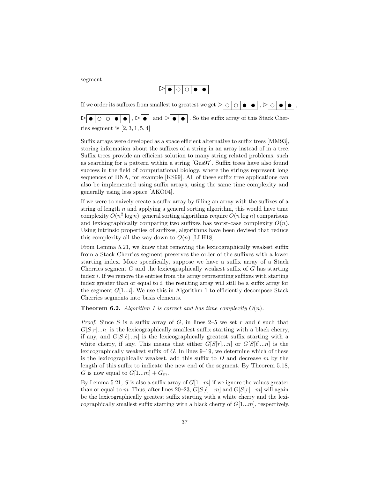segment

$$
\triangleright \boxed{\bullet \hspace{0.2em} \circ \hspace{0.2em} \circ \hspace{0.2em} \circ \hspace{0.2em} \bullet \hspace{0.2em} \bullet}
$$

If we order its suffixes from smallest to greatest we get  $\triangleright \circ \circ \circ \bullet \bullet$ ,  $\triangleright \circ \circ \bullet \bullet$ ,  $\triangleright \bullet \circ \circ \circ \bullet \bullet$ ,  $\triangleright \bullet$  and  $\triangleright \bullet \bullet$ . So the suffix array of this Stack Cherries segment is  $[2, 3, 1, 5, 4]$ 

Suffix arrays were developed as a space efficient alternative to suffix trees [\[MM93\]](#page-52-2), storing information about the suffixes of a string in an array instead of in a tree. Suffix trees provide an efficient solution to many string related problems, such as searching for a pattern within a string [\[Gus97\]](#page-52-3). Suffix trees have also found success in the field of computational biology, where the strings represent long sequences of DNA, for example [\[KS99\]](#page-52-4). All of these suffix tree applications can also be implemented using suffix arrays, using the same time complexity and generally using less space [\[AKO04\]](#page-52-5).

If we were to naively create a suffix array by filling an array with the suffixes of a string of length  $n$  and applying a general sorting algorithm, this would have time complexity  $O(n^2 \log n)$ : general sorting algorithms require  $O(n \log n)$  comparisons and lexicographically comparing two suffixes has worst-case complexity  $O(n)$ . Using intrinsic properties of suffixes, algorithms have been devised that reduce this complexity all the way down to  $O(n)$  [\[LLH18\]](#page-52-6).

From Lemma [5.21,](#page-31-0) we know that removing the lexicographically weakest suffix from a Stack Cherries segment preserves the order of the suffixes with a lower starting index. More specifically, suppose we have a suffix array of a Stack Cherries segment  $G$  and the lexicographically weakest suffix of  $G$  has starting index i. If we remove the entries from the array representing suffixes with starting index greater than or equal to  $i$ , the resulting array will still be a suffix array for the segment  $G[1...i]$  $G[1...i]$  $G[1...i]$ . We use this in Algorithm 1 to efficiently decompose Stack Cherries segments into basis elements.

**Theorem 6.2.** Algorithm [1](#page-39-0) is correct and has time complexity  $O(n)$ .

*Proof.* Since S is a suffix array of G, in lines 2–5 we set r and  $\ell$  such that  $G[S[r]...n]$  is the lexicographically smallest suffix starting with a black cherry, if any, and  $G[S[\ell]...n]$  is the lexicographically greatest suffix starting with a white cherry, if any. This means that either  $G[S[r]...n]$  or  $G[S[\ell]...n]$  is the lexicographically weakest suffix of  $G$ . In lines  $9-19$ , we determine which of these is the lexicographically weakest, add this suffix to  $D$  and decrease  $m$  by the length of this suffix to indicate the new end of the segment. By Theorem [5.18,](#page-29-0) G is now equal to  $G[1...m] + G_m$ .

By Lemma [5.21,](#page-31-0) S is also a suffix array of  $G[1...m]$  if we ignore the values greater than or equal to m. Thus, after lines 20–23,  $G[S[\ell]...m]$  and  $G[S[r]...m]$  will again be the lexicographically greatest suffix starting with a white cherry and the lexicographically smallest suffix starting with a black cherry of  $G[1...m]$ , respectively.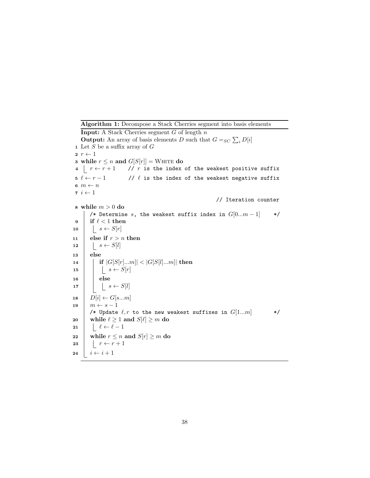<span id="page-39-0"></span>Algorithm 1: Decompose a Stack Cherries segment into basis elements **Input:** A Stack Cherries segment  $G$  of length  $n$ **Output:** An array of basis elements D such that  $G =_{SC} \sum_i D[i]$ 1 Let  $S$  be a suffix array of  $G$  $2 r \leftarrow 1$ 3 while  $r \leq n$  and  $G[S[r]] = \text{WHTE}$  do 4  $r \leftarrow r + 1$  // r is the index of the weakest positive suffix  $5 \ell \leftarrow r - 1$  //  $\ell$  is the index of the weakest negative suffix 6  $m \leftarrow n$  $\tau$   $i\leftarrow 1$ // Iteration counter 8 while  $m > 0$  do /\* Determine s, the weakest suffix index in  $G[0...m-1]$  \*/ 9 if  $\ell < 1$  then 10  $s \leftarrow S[r]$ 11 else if  $r > n$  then 12  $\vert \quad s \leftarrow S[l]$ 13 else 14 **if**  $|G[S[r]...m]| < |G[S[l]...m]|$  then 15  $\vert \vert \ s \leftarrow S[r]$  $16$  else 17  $\Big| \Big| \Big| s \leftarrow S[l]$ 18  $D[i] \leftarrow G[s...m]$ 19  $\mid m \leftarrow s - 1$ /\* Update  $\ell, r$  to the new weakest suffixes in  $G[1...m]$  \*/ 20 while  $\ell \geq 1$  and  $S[\ell] \geq m$  do 21  $\ell \leftarrow \ell - 1$ 22 while  $r \leq n$  and  $S[r] \geq m$  do 23  $r \leftarrow r + 1$ 24  $i \leftarrow i + 1$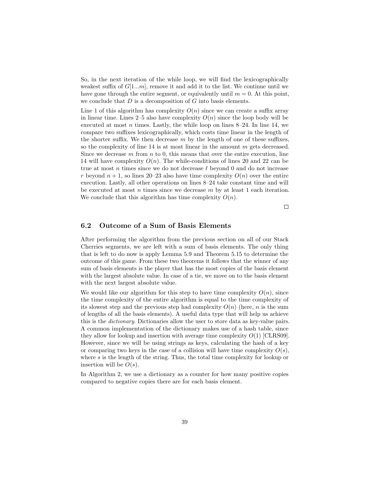So, in the next iteration of the while loop, we will find the lexicographically weakest suffix of  $G[1...m]$ , remove it and add it to the list. We continue until we have gone through the entire segment, or equivalently until  $m = 0$ . At this point, we conclude that  $D$  is a decomposition of  $G$  into basis elements.

Line 1 of this algorithm has complexity  $O(n)$  since we can create a suffix array in linear time. Lines 2–5 also have complexity  $O(n)$  since the loop body will be executed at most n times. Lastly, the while loop on lines  $8-24$ . In line 14, we compare two suffixes lexicographically, which costs time linear in the length of the shorter suffix. We then decrease  $m$  by the length of one of these suffixes, so the complexity of line 14 is at most linear in the amount m gets decreased. Since we decrease  $m$  from  $n$  to 0, this means that over the entire execution, line 14 will have complexity  $O(n)$ . The while-conditions of lines 20 and 22 can be true at most n times since we do not decrease  $\ell$  beyond 0 and do not increase r beyond  $n + 1$ , so lines 20–23 also have time complexity  $O(n)$  over the entire execution. Lastly, all other operations on lines 8–24 take constant time and will be executed at most  $n$  times since we decrease  $m$  by at least 1 each iteration. We conclude that this algorithm has time complexity  $O(n)$ .

 $\Box$ 

### <span id="page-40-0"></span>6.2 Outcome of a Sum of Basis Elements

After performing the algorithm from the previous section on all of our Stack Cherries segments, we are left with a sum of basis elements. The only thing that is left to do now is apply Lemma [5.9](#page-24-0) and Theorem [5.15](#page-26-1) to determine the outcome of this game. From these two theorems it follows that the winner of any sum of basis elements is the player that has the most copies of the basis element with the largest absolute value. In case of a tie, we move on to the basis element with the next largest absolute value.

We would like our algorithm for this step to have time complexity  $O(n)$ , since the time complexity of the entire algorithm is equal to the time complexity of its slowest step and the previous step had complexity  $O(n)$  (here, n is the sum of lengths of all the basis elements). A useful data type that will help us achieve this is the dictionary. Dictionaries allow the user to store data as key-value pairs. A common implementation of the dictionary makes use of a hash table, since they allow for lookup and insertion with average time complexity  $O(1)$  [\[CLRS09\]](#page-52-7). However, since we will be using strings as keys, calculating the hash of a key or comparing two keys in the case of a collision will have time complexity  $O(s)$ , where s is the length of the string. Thus, the total time complexity for lookup or insertion will be  $O(s)$ .

In Algorithm [2,](#page-41-0) we use a dictionary as a counter for how many positive copies compared to negative copies there are for each basis element.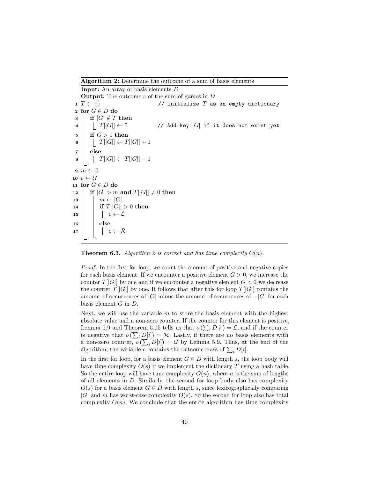Algorithm 2: Determine the outcome of a sum of basis elements

Input: An array of basis elements D **Output:** The outcome  $c$  of the sum of games in  $D$ 1  $T \leftarrow \{\}$  // Initialize T as an empty dictionary 2 for  $G \in D$  do  $3 \mid \text{if } |G| \notin T \text{ then}$  $4 \mid T[G]] \leftarrow 0$  // Add key  $|G|$  if it does not exist yet  $5 \quad \text{if } G > 0 \text{ then}$ 6 |  $T[[G]] \leftarrow T[[G]] + 1$ 7 else  $\vert T[[G]] \leftarrow T[[G]] - 1$  $9 \, m \leftarrow 0$ 10  $c \leftarrow \mathcal{U}$ 11 for  $G \in D$  do 12 if  $|G| > m$  and  $T||G|| \neq 0$  then 13  $\mid$   $m \leftarrow |G|$ 14 **if**  $T|[G]| > 0$  then 15  $\vert \vert \vert \cdot \vert \cdot c \leftarrow \mathcal{L}$ 16 | else 17  $\vert \vert \vert \vert \in \mathcal{C} \leftarrow \mathcal{R}$ 

<span id="page-41-0"></span>**Theorem 6.3.** Algorithm [2](#page-41-0) is correct and has time complexity  $O(n)$ .

Proof. In the first for loop, we count the amount of positive and negative copies for each basis element. If we encounter a positive element  $G > 0$ , we increase the counter  $T||G||$  by one and if we encounter a negative element  $G < 0$  we decrease the counter  $T||G||$  by one. It follows that after this for loop  $T||G||$  contains the amount of occurrences of  $|G|$  minus the amount of occurrences of  $-|G|$  for each basis element G in D.

Next, we will use the variable  $m$  to store the basis element with the highest absolute value and a non-zero counter. If the counter for this element is positive, Lemma [5.9](#page-24-0) and Theorem [5.15](#page-26-1) tells us that  $o\left(\sum_{i} D[i]\right) = \mathcal{L}$ , and if the counter is negative that  $o\left(\sum_i D[i]\right) = \mathcal{R}$ . Lastly, if there are no basis elements with a non-zero counter,  $o\left(\sum_{i} D[i]\right) = \mathcal{U}$  by Lemma [5.9.](#page-24-0) Thus, at the end of the algorithm, the variable c contains the outcome class of  $\sum_i D[i]$ .

In the first for loop, for a basis element  $G \in D$  with length s, the loop body will have time complexity  $O(s)$  if we implement the dictionary T using a hash table. So the entire loop will have time complexity  $O(n)$ , where n is the sum of lengths of all elements in D. Similarly, the second for loop body also has complexity  $O(s)$  for a basis element  $G \in D$  with length s, since lexicographically comparing  $|G|$  and m has worst-case complexity  $O(s)$ . So the second for loop also has total complexity  $O(n)$ . We conclude that the entire algorithm has time complexity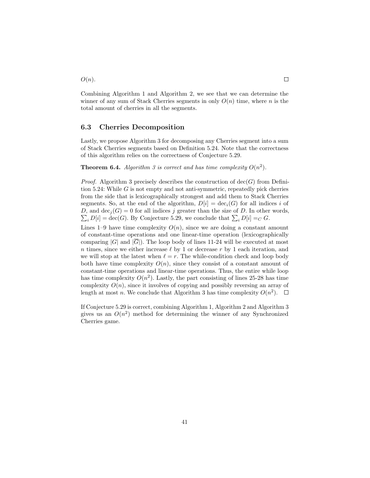$O(n).$ 

Combining Algorithm [1](#page-39-0) and Algorithm [2,](#page-41-0) we see that we can determine the winner of any sum of Stack Cherries segments in only  $O(n)$  time, where n is the total amount of cherries in all the segments.

#### <span id="page-42-0"></span>6.3 Cherries Decomposition

Lastly, we propose Algorithm [3](#page-43-0) for decomposing any Cherries segment into a sum of Stack Cherries segments based on Definition [5.24.](#page-33-0) Note that the correctness of this algorithm relies on the correctness of Conjecture [5.29.](#page-35-1)

**Theorem 6.4.** Algorithm [3](#page-43-0) is correct and has time complexity  $O(n^2)$ .

*Proof.* Algorithm [3](#page-43-0) precisely describes the construction of  $\text{dec}(G)$  from Defini-tion [5.24:](#page-33-0) While  $G$  is not empty and not anti-symmetric, repeatedly pick cherries from the side that is lexicographically strongest and add them to Stack Cherries segments. So, at the end of the algorithm,  $D[i] = \text{dec}_i(G)$  for all indices i of D, and  $\text{dec}_j(G) = 0$  for all indices j greater than the size of D. In other words,  $\sum_i D[i] = \text{dec}(G)$ . By Conjecture [5.29,](#page-35-1) we conclude that  $\sum_i D[i] =_C G$ .

Lines 1–9 have time complexity  $O(n)$ , since we are doing a constant amount of constant-time operations and one linear-time operation (lexicographically comparing  $|G|$  and  $|\overline{G}|$ ). The loop body of lines 11-24 will be executed at most n times, since we either increase  $\ell$  by 1 or decrease r by 1 each iteration, and we will stop at the latest when  $\ell = r$ . The while-condition check and loop body both have time complexity  $O(n)$ , since they consist of a constant amount of constant-time operations and linear-time operations. Thus, the entire while loop has time complexity  $O(n^2)$ . Lastly, the part consisting of lines 25-28 has time complexity  $O(n)$ , since it involves of copying and possibly reversing an array of length at most *n*. We conclude that Algorithm [3](#page-43-0) has time complexity  $O(n^2)$ .

If Conjecture [5.29](#page-35-1) is correct, combining Algorithm [1,](#page-39-0) Algorithm [2](#page-41-0) and Algorithm [3](#page-43-0) gives us an  $O(n^2)$  method for determining the winner of any Synchronized Cherries game.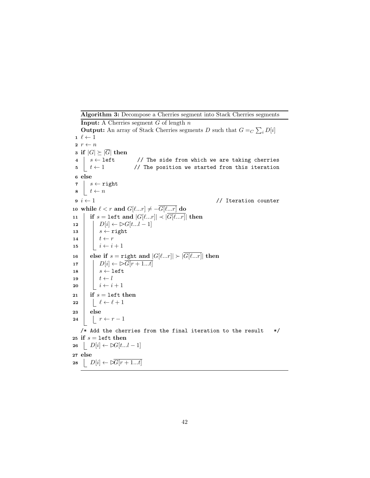Algorithm 3: Decompose a Cherries segment into Stack Cherries segments

```
Input: A Cherries segment G of length nOutput: An array of Stack Cherries segments D such that G =_C \sum_i D[i]1 \ell \leftarrow 12 r \leftarrow n3 if |G| \geq |\overline{G}| then
 4 | s \leftarrow left // The side from which we are taking cherries
 5 \left\lfloor t \leftarrow 1 // The position we started from this iteration
 6 else
 7 s \leftarrow \text{right}8 t \leftarrow n9 \text{ } i \leftarrow 1 // Iteration counter
10 while \ell < r and G[\ell...r] \neq -\overline{G[\ell...r]} do
11 if s = \text{left} and |G[\ell...r]| \prec |\overline{G[\ell...r]}| then
12 | D[i] \leftarrow \bigcup [t...l-1]13 \vert \quad s \leftarrow \text{right}14 t \leftarrow r15 \vert \vert i \leftarrow i + 116 | else if s =right and |G[\ell...r]| \succ |\overline{G[\ell...r]}| then
17 D[i] \leftarrow \triangleright \overline{G[r+1...t]}18 \vert \vert \ s \leftarrow left
19 t \leftarrow l20 i \leftarrow i + 121 if s = \text{left} then
22 \vert \vert \ell \leftarrow \ell + 123 else
24 | r \leftarrow r - 1/* Add the cherries from the final iteration to the result */25 if s = left then
26 D[i] \leftarrow \bowtie [t...l-1]27 else
28 \bigcup D[i] \leftarrow \triangleright \overline{G[r+1...t]}
```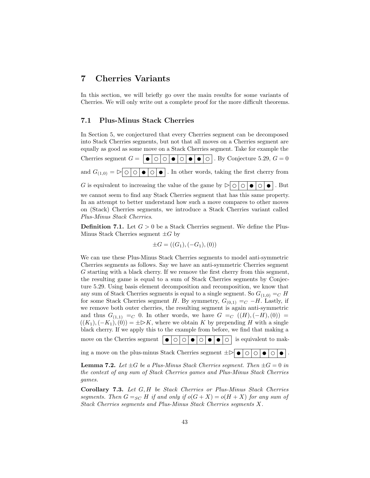## <span id="page-44-0"></span>7 Cherries Variants

Plus-Minus Stack Cherries.

In this section, we will briefly go over the main results for some variants of Cherries. We will only write out a complete proof for the more difficult theorems.

#### <span id="page-44-1"></span>7.1 Plus-Minus Stack Cherries

In Section [5,](#page-18-0) we conjectured that every Cherries segment can be decomposed into Stack Cherries segments, but not that all moves on a Cherries segment are equally as good as some move on a Stack Cherries segment. Take for example the Cherries segment  $G = |\bullet| \circ |\circ| \bullet |\circ |\bullet| \circ |\bullet|$ . By Conjecture [5.29,](#page-35-1)  $G = 0$ and  $G_{(1,0)} = \log \left[ \frac{\log \left| \right|}{\log \left| \right|} \right]$ . In other words, taking the first cherry from G is equivalent to increasing the value of the game by  $\triangleright \circ \circ \circ \cdot \cdot$   $\cdot \circ \cdot$ . But we cannot seem to find any Stack Cherries segment that has this same property. In an attempt to better understand how such a move compares to other moves on (Stack) Cherries segments, we introduce a Stack Cherries variant called

**Definition 7.1.** Let  $G > 0$  be a Stack Cherries segment. We define the Plus-Minus Stack Cherries segment  $\pm G$  by

$$
\pm G = ((G_1), (-G_1), (0))
$$

We can use these Plus-Minus Stack Cherries segments to model anti-symmetric Cherries segments as follows. Say we have an anti-symmetric Cherries segment G starting with a black cherry. If we remove the first cherry from this segment, the resulting game is equal to a sum of Stack Cherries segments by Conjecture [5.29.](#page-35-1) Using basis element decomposition and recomposition, we know that any sum of Stack Cherries segments is equal to a single segment. So  $G_{(1,0)} =_C H$ for some Stack Cherries segment H. By symmetry,  $G_{(0,1)} =_C -H$ . Lastly, if we remove both outer cherries, the resulting segment is again anti-symmetric and thus  $G_{(1,1)} =_C 0$ . In other words, we have  $G =_C ((H), (-H), (0)) =$  $((K_1),(-K_1),(0)) = \pm \triangleright K$ , where we obtain K by prepending H with a single black cherry. If we apply this to the example from before, we find that making a move on the Cherries segment  $\vert \bullet \vert \circ \vert \circ \vert \bullet \vert \circ \vert \bullet \vert \circ \vert \bullet \vert \circ \vert$  is equivalent to mak-

ing a move on the plus-minus Stack Cherries segment  $\pm \triangleright \cdot \cdot \cdot \cdot$  .

**Lemma 7.2.** Let  $\pm G$  be a Plus-Minus Stack Cherries segment. Then  $\pm G = 0$  in the context of any sum of Stack Cherries games and Plus-Minus Stack Cherries games.

Corollary 7.3. Let G, H be Stack Cherries or Plus-Minus Stack Cherries segments. Then  $G =_{SC} H$  if and only if  $o(G + X) = o(H + X)$  for any sum of Stack Cherries segments and Plus-Minus Stack Cherries segments X.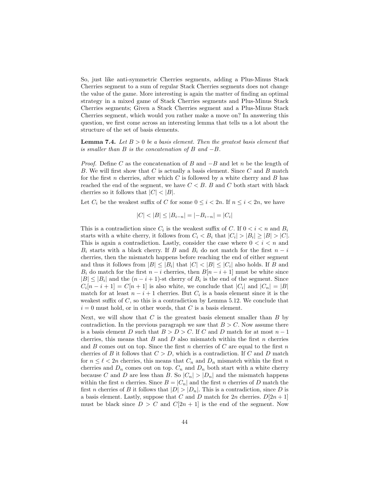So, just like anti-symmetric Cherries segments, adding a Plus-Minus Stack Cherries segment to a sum of regular Stack Cherries segments does not change the value of the game. More interesting is again the matter of finding an optimal strategy in a mixed game of Stack Cherries segments and Plus-Minus Stack Cherries segments; Given a Stack Cherries segment and a Plus-Minus Stack Cherries segment, which would you rather make a move on? In answering this question, we first come across an interesting lemma that tells us a lot about the structure of the set of basis elements.

<span id="page-45-0"></span>**Lemma 7.4.** Let  $B > 0$  be a basis element. Then the greatest basis element that is smaller than  $B$  is the concatenation of  $B$  and  $-B$ .

*Proof.* Define C as the concatenation of B and  $-B$  and let n be the length of B. We will first show that  $C$  is actually a basis element. Since  $C$  and  $B$  match for the first n cherries, after which  $C$  is followed by a white cherry and  $B$  has reached the end of the segment, we have  $C < B$ . B and C both start with black cherries so it follows that  $|C| < |B|$ .

Let  $C_i$  be the weakest suffix of C for some  $0 \leq i < 2n$ . If  $n \leq i < 2n$ , we have

$$
|C| < |B| \le |B_{i-n}| = |-B_{i-n}| = |C_i|
$$

This is a contradiction since  $C_i$  is the weakest suffix of C. If  $0 < i < n$  and  $B_i$ starts with a white cherry, it follows from  $C_i < B_i$  that  $|C_i| > |B_i| \ge |B| > |C|$ . This is again a contradiction. Lastly, consider the case where  $0 < i < n$  and  $B_i$  starts with a black cherry. If B and  $B_i$  do not match for the first  $n - i$ cherries, then the mismatch happens before reaching the end of either segment and thus it follows from  $|B| \leq |B_i|$  that  $|C| < |B| \leq |C_i|$  also holds. If B and  $B_i$  do match for the first  $n - i$  cherries, then  $B[n - i + 1]$  must be white since  $|B| \leq |B_i|$  and the  $(n-i+1)$ -st cherry of  $B_i$  is the end of the segment. Since  $C_i[n-i+1] = C[n+1]$  is also white, we conclude that  $|C_i|$  and  $|C_n| = |B|$ match for at least  $n - i + 1$  cherries. But  $C_i$  is a basis element since it is the weakest suffix of  $C$ , so this is a contradiction by Lemma [5.12.](#page-25-0) We conclude that  $i = 0$  must hold, or in other words, that C is a basis element.

Next, we will show that  $C$  is the greatest basis element smaller than  $B$  by contradiction. In the previous paragraph we saw that  $B > C$ . Now assume there is a basis element D such that  $B > D > C$ . If C and D match for at most  $n - 1$ cherries, this means that  $B$  and  $D$  also mismatch within the first  $n$  cherries and  $B$  comes out on top. Since the first n cherries of  $C$  are equal to the first n cherries of B it follows that  $C > D$ , which is a contradiction. If C and D match for  $n \leq \ell < 2n$  cherries, this means that  $C_n$  and  $D_n$  mismatch within the first n cherries and  $D_n$  comes out on top.  $C_n$  and  $D_n$  both start with a white cherry because C and D are less than B. So  $|C_n| > |D_n|$  and the mismatch happens within the first *n* cherries. Since  $B = |C_n|$  and the first *n* cherries of *D* match the first *n* cherries of *B* it follows that  $|D| > |D_n|$ . This is a contradiction, since *D* is a basis element. Lastly, suppose that C and D match for  $2n$  cherries.  $D[2n+1]$ must be black since  $D > C$  and  $C[2n + 1]$  is the end of the segment. Now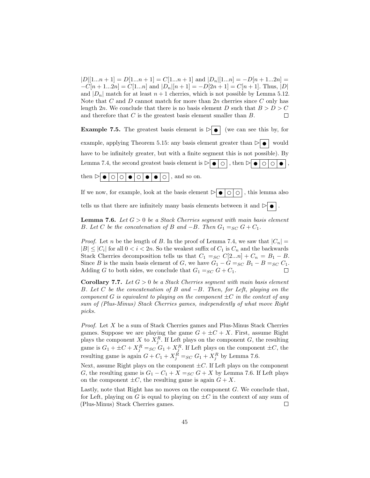$|D|[1...n+1] = D[1...n+1] = C[1...n+1]$  and  $|D_n|[1...n] = -D[n+1...2n] =$  $-C[n+1...2n] = C[1...n]$  and  $|D_n|[n+1] = -D[2n+1] = C[n+1]$ . Thus, |D| and  $|D_n|$  match for at least  $n + 1$  cherries, which is not possible by Lemma [5.12.](#page-25-0) Note that C and D cannot match for more than  $2n$  cherries since C only has length 2n. We conclude that there is no basis element D such that  $B > D > C$ and therefore that C is the greatest basis element smaller than B.  $\Box$ 

**Example 7.5.** The greatest basis element is  $\triangleright$  (we can see this by, for example, applying Theorem [5.15:](#page-26-1) any basis element greater than  $\triangleright$   $\bullet$  would have to be infinitely greater, but with a finite segment this is not possible). By Lemma [7.4,](#page-45-0) the second greatest basis element is  $\rhd \circ \circ | \circ |$ , then  $\rhd \circ \circ \circ | \circ | \circ | \circ |$ . then  $\triangleright \bullet \circ \circ \circ \bullet \circ \circ \bullet \bullet \circ \circ$ , and so on.

If we now, for example, look at the basis element  $\triangleright$   $\bullet$   $\circ$   $\circ$   $\circ$   $\circ$ , this lemma also

tells us that there are infinitely many basis elements between it and  $\triangleright$   $\bullet$  .

<span id="page-46-0"></span>**Lemma 7.6.** Let  $G > 0$  be a Stack Cherries segment with main basis element B. Let C be the concatenation of B and  $-B$ . Then  $G_1 =_{SC} G + C_1$ .

*Proof.* Let n be the length of B. In the proof of Lemma [7.4,](#page-45-0) we saw that  $|C_n|$  =  $|B| \leq |C_i|$  for all  $0 < i < 2n$ . So the weakest suffix of  $C_1$  is  $C_n$  and the backwards Stack Cherries decomposition tells us that  $C_1 =_{SC} C[2...n] + C_n = B_1 - B$ . Since B is the main basis element of G, we have  $G_1 - G =_{SC} B_1 - B =_{SC} C_1$ . Adding G to both sides, we conclude that  $G_1 =_{SC} G + C_1$ .  $\Box$ 

Corollary 7.7. Let  $G > 0$  be a Stack Cherries segment with main basis element B. Let C be the concatenation of B and  $-B$ . Then, for Left, playing on the component G is equivalent to playing on the component  $\pm C$  in the context of any sum of (Plus-Minus) Stack Cherries games, independently of what move Right picks.

*Proof.* Let  $X$  be a sum of Stack Cherries games and Plus-Minus Stack Cherries games. Suppose we are playing the game  $G + \pm C + X$ . First, assume Right plays the component X to  $X_j^R$ . If Left plays on the component G, the resulting game is  $G_1 + \pm C + X_j^R =_{SC} G_1 + X_j^R$ . If Left plays on the component  $\pm C$ , the resulting game is again  $G + C_1 + X_j^R =_{SC} G_1 + X_j^R$  by Lemma [7.6.](#page-46-0)

Next, assume Right plays on the component  $\pm C$ . If Left plays on the component G, the resulting game is  $G_1 - C_1 + X =_{SC} G + X$  by Lemma [7.6.](#page-46-0) If Left plays on the component  $\pm C$ , the resulting game is again  $G + X$ .

Lastly, note that Right has no moves on the component G. We conclude that, for Left, playing on G is equal to playing on  $\pm C$  in the context of any sum of (Plus-Minus) Stack Cherries games.  $\Box$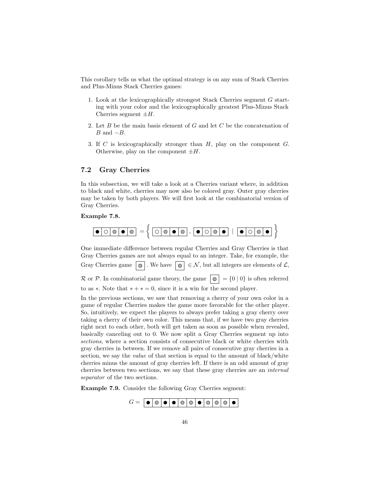This corollary tells us what the optimal strategy is on any sum of Stack Cherries and Plus-Minus Stack Cherries games:

- 1. Look at the lexicographically strongest Stack Cherries segment G starting with your color and the lexicographically greatest Plus-Minus Stack Cherries segment  $\pm H$ .
- 2. Let  $B$  be the main basis element of  $G$  and let  $C$  be the concatenation of  $B$  and  $-B$ .
- 3. If C is lexicographically stronger than H, play on the component G. Otherwise, play on the component  $\pm H$ .

### <span id="page-47-0"></span>7.2 Gray Cherries

In this subsection, we will take a look at a Cherries variant where, in addition to black and white, cherries may now also be colored gray. Outer gray cherries may be taken by both players. We will first look at the combinatorial version of Gray Cherries.

#### Example 7.8.



One immediate difference between regular Cherries and Gray Cherries is that Gray Cherries games are not always equal to an integer. Take, for example, the Gray Cherries game  $\boxed{\circ}$ . We have  $\boxed{\circ} \in \mathcal{N}$ , but all integers are elements of  $\mathcal{L}$ ,  $\mathcal R$  or  $\mathcal P$ . In combinatorial game theory, the game  $\boxed{\circledcirc} = \{0 \mid 0\}$  is often referred

to as  $\ast$ . Note that  $\ast + \ast = 0$ , since it is a win for the second player.

In the previous sections, we saw that removing a cherry of your own color in a game of regular Cherries makes the game more favorable for the other player. So, intuitively, we expect the players to always prefer taking a gray cherry over taking a cherry of their own color. This means that, if we have two gray cherries right next to each other, both will get taken as soon as possible when revealed, basically canceling out to 0. We now split a Gray Cherries segment up into sections, where a section consists of consecutive black or white cherries with gray cherries in between. If we remove all pairs of consecutive gray cherries in a section, we say the *value* of that section is equal to the amount of black/white cherries minus the amount of gray cherries left. If there is an odd amount of gray cherries between two sections, we say that these gray cherries are an internal separator of the two sections.

<span id="page-47-1"></span>Example 7.9. Consider the following Gray Cherries segment:

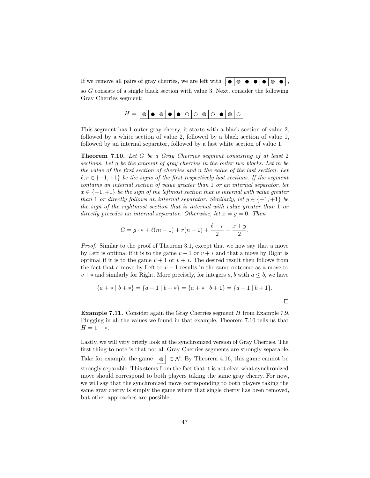If we remove all pairs of gray cherries, we are left with  $\|\bullet\|\bullet\|\bullet\|\bullet\|\bullet\|\bullet\|$ .

so G consists of a single black section with value 3. Next, consider the following Gray Cherries segment:

$$
H = \boxed{\circledcirc \bullet \circledcirc \bullet \circ \circledcirc \circ \circledcirc \circ \bullet \circ \circ}
$$

This segment has 1 outer gray cherry, it starts with a black section of value 2, followed by a white section of value 2, followed by a black section of value 1, followed by an internal separator, followed by a last white section of value 1.

<span id="page-48-0"></span>Theorem 7.10. Let G be a Gray Cherries segment consisting of at least 2 sections. Let g be the amount of gray cherries in the outer two blocks. Let m be the value of the first section of cherries and n the value of the last section. Let  $\ell, r \in \{-1, +1\}$  be the signs of the first respectively last sections. If the segment contains an internal section of value greater than 1 or an internal separator, let  $x \in \{-1, +1\}$  be the sign of the leftmost section that is internal with value greater than 1 or directly follows an internal separator. Similarly, let  $y \in \{-1, +1\}$  be the sign of the rightmost section that is internal with value greater than 1 or directly precedes an internal separator. Otherwise, let  $x = y = 0$ . Then

$$
G = g \cdot * + \ell(m - 1) + r(n - 1) + \frac{\ell + r}{2} + \frac{x + y}{2}.
$$

Proof. Similar to the proof of Theorem [3.1,](#page-8-1) except that we now say that a move by Left is optimal if it is to the game  $v - 1$  or  $v + *$  and that a move by Right is optimal if it is to the game  $v + 1$  or  $v + *$ . The desired result then follows from the fact that a move by Left to  $v - 1$  results in the same outcome as a move to  $v + *$  and similarly for Right. More precisely, for integers  $a, b$  with  $a \leq b$ , we have

$$
\{a + * | b + * \} = \{a - 1 | b + * \} = \{a + * | b + 1\} = \{a - 1 | b + 1\}.
$$

 $\Box$ 

Example 7.11. Consider again the Gray Cherries segment H from Example [7.9.](#page-47-1) Plugging in all the values we found in that example, Theorem [7.10](#page-48-0) tells us that  $H = 1 + *$ .

Lastly, we will very briefly look at the synchronized version of Gray Cherries. The first thing to note is that not all Gray Cherries segments are strongly separable. Take for example the game  $\vert \circ \vert \in \mathcal{N}$ . By Theorem [4.16,](#page-16-1) this game cannot be strongly separable. This stems from the fact that it is not clear what synchronized move should correspond to both players taking the same gray cherry. For now, we will say that the synchronized move corresponding to both players taking the same gray cherry is simply the game where that single cherry has been removed, but other approaches are possible.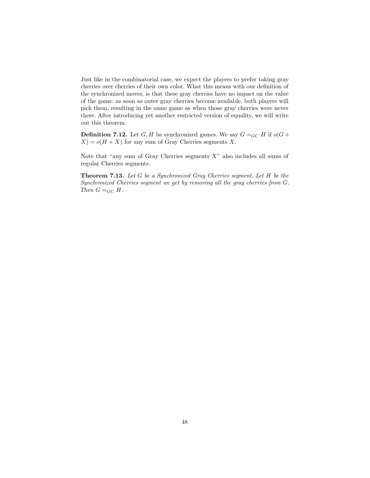Just like in the combinatorial case, we expect the players to prefer taking gray cherries over cherries of their own color. What this means with our definition of the synchronized moves, is that these gray cherries have no impact on the value of the game: as soon as outer gray cherries become available, both players will pick them, resulting in the same game as when those gray cherries were never there. After introducing yet another restricted version of equality, we will write out this theorem.

**Definition 7.12.** Let G, H be synchronized games. We say  $G =_{GC} H$  if  $o(G +$  $X$ ) =  $o(H + X)$  for any sum of Gray Cherries segments X.

Note that "any sum of Gray Cherries segments  $X$ " also includes all sums of regular Cherries segments.

Theorem 7.13. Let G be a Synchronized Gray Cherries segment. Let H be the Synchronized Cherries segment we get by removing all the gray cherries from G. Then  $G =_{GC} H$ .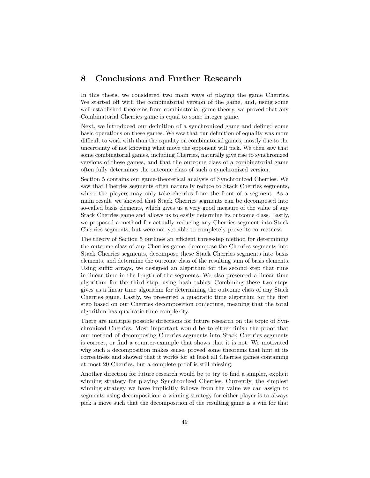## <span id="page-50-0"></span>8 Conclusions and Further Research

In this thesis, we considered two main ways of playing the game Cherries. We started off with the combinatorial version of the game, and, using some well-established theorems from combinatorial game theory, we proved that any Combinatorial Cherries game is equal to some integer game.

Next, we introduced our definition of a synchronized game and defined some basic operations on these games. We saw that our definition of equality was more difficult to work with than the equality on combinatorial games, mostly due to the uncertainty of not knowing what move the opponent will pick. We then saw that some combinatorial games, including Cherries, naturally give rise to synchronized versions of these games, and that the outcome class of a combinatorial game often fully determines the outcome class of such a synchronized version.

Section [5](#page-18-0) contains our game-theoretical analysis of Synchronized Cherries. We saw that Cherries segments often naturally reduce to Stack Cherries segments, where the players may only take cherries from the front of a segment. As a main result, we showed that Stack Cherries segments can be decomposed into so-called basis elements, which gives us a very good measure of the value of any Stack Cherries game and allows us to easily determine its outcome class. Lastly, we proposed a method for actually reducing any Cherries segment into Stack Cherries segments, but were not yet able to completely prove its correctness.

The theory of Section [5](#page-18-0) outlines an efficient three-step method for determining the outcome class of any Cherries game: decompose the Cherries segments into Stack Cherries segments, decompose these Stack Cherries segments into basis elements, and determine the outcome class of the resulting sum of basis elements. Using suffix arrays, we designed an algorithm for the second step that runs in linear time in the length of the segments. We also presented a linear time algorithm for the third step, using hash tables. Combining these two steps gives us a linear time algorithm for determining the outcome class of any Stack Cherries game. Lastly, we presented a quadratic time algorithm for the first step based on our Cherries decomposition conjecture, meaning that the total algorithm has quadratic time complexity.

There are multiple possible directions for future research on the topic of Synchronized Cherries. Most important would be to either finish the proof that our method of decomposing Cherries segments into Stack Cherries segments is correct, or find a counter-example that shows that it is not. We motivated why such a decomposition makes sense, proved some theorems that hint at its correctness and showed that it works for at least all Cherries games containing at most 20 Cherries, but a complete proof is still missing.

Another direction for future research would be to try to find a simpler, explicit winning strategy for playing Synchronized Cherries. Currently, the simplest winning strategy we have implicitly follows from the value we can assign to segments using decomposition: a winning strategy for either player is to always pick a move such that the decomposition of the resulting game is a win for that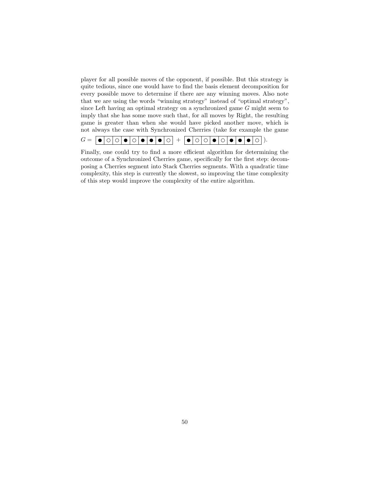player for all possible moves of the opponent, if possible. But this strategy is quite tedious, since one would have to find the basis element decomposition for every possible move to determine if there are any winning moves. Also note that we are using the words "winning strategy" instead of "optimal strategy", since Left having an optimal strategy on a synchronized game G might seem to imply that she has some move such that, for all moves by Right, the resulting game is greater than when she would have picked another move, which is not always the case with Synchronized Cherries (take for example the game



Finally, one could try to find a more efficient algorithm for determining the outcome of a Synchronized Cherries game, specifically for the first step: decomposing a Cherries segment into Stack Cherries segments. With a quadratic time complexity, this step is currently the slowest, so improving the time complexity of this step would improve the complexity of the entire algorithm.